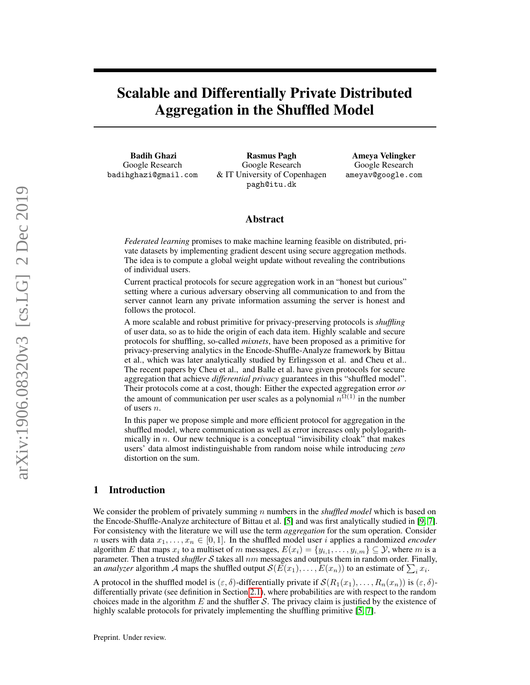# Scalable and Differentially Private Distributed Aggregation in the Shuffled Model

Badih Ghazi Google Research badihghazi@gmail.com

Rasmus Pagh Google Research & IT University of Copenhagen pagh@itu.dk

Ameya Velingker Google Research ameyav@google.com

## Abstract

*Federated learning* promises to make machine learning feasible on distributed, private datasets by implementing gradient descent using secure aggregation methods. The idea is to compute a global weight update without revealing the contributions of individual users.

Current practical protocols for secure aggregation work in an "honest but curious" setting where a curious adversary observing all communication to and from the server cannot learn any private information assuming the server is honest and follows the protocol.

A more scalable and robust primitive for privacy-preserving protocols is *shuffling* of user data, so as to hide the origin of each data item. Highly scalable and secure protocols for shuffling, so-called *mixnets*, have been proposed as a primitive for privacy-preserving analytics in the Encode-Shuffle-Analyze framework by Bittau et al., which was later analytically studied by Erlingsson et al. and Cheu et al.. The recent papers by Cheu et al., and Balle et al. have given protocols for secure aggregation that achieve *differential privacy* guarantees in this "shuffled model". Their protocols come at a cost, though: Either the expected aggregation error *or* the amount of communication per user scales as a polynomial  $n^{\Omega(1)}$  in the number of users n.

In this paper we propose simple and more efficient protocol for aggregation in the shuffled model, where communication as well as error increases only polylogarithmically in  $n$ . Our new technique is a conceptual "invisibility cloak" that makes users' data almost indistinguishable from random noise while introducing *zero* distortion on the sum.

# 1 Introduction

We consider the problem of privately summing n numbers in the *shuffled model* which is based on the Encode-Shuffle-Analyze architecture of Bittau et al. [\[5\]](#page-16-0) and was first analytically studied in [\[9,](#page-17-0) [7\]](#page-16-1). For consistency with the literature we will use the term *aggregation* for the sum operation. Consider *n* users with data  $x_1, \ldots, x_n \in [0, 1]$ . In the shuffled model user i applies a randomized *encoder* algorithm E that maps  $x_i$  to a multiset of m messages,  $E(x_i) = \{y_{i,1}, \ldots, y_{i,m}\} \subseteq \mathcal{Y}$ , where m is a parameter. Then a trusted *shuffler* S takes all  $nm$  messages and outputs them in random order. Finally, an *analyzer* algorithm A maps the shuffled output  $\mathcal{S}(E(x_1), \ldots, E(x_n))$  to an estimate of  $\sum_i x_i$ .

A protocol in the shuffled model is  $(\varepsilon, \delta)$ -differentially private if  $\mathcal{S}(R_1(x_1), \ldots, R_n(x_n))$  is  $(\varepsilon, \delta)$ differentially private (see definition in Section [2.1\)](#page-4-0), where probabilities are with respect to the random choices made in the algorithm  $E$  and the shuffler  $S$ . The privacy claim is justified by the existence of highly scalable protocols for privately implementing the shuffling primitive [\[5,](#page-16-0) [7\]](#page-16-1).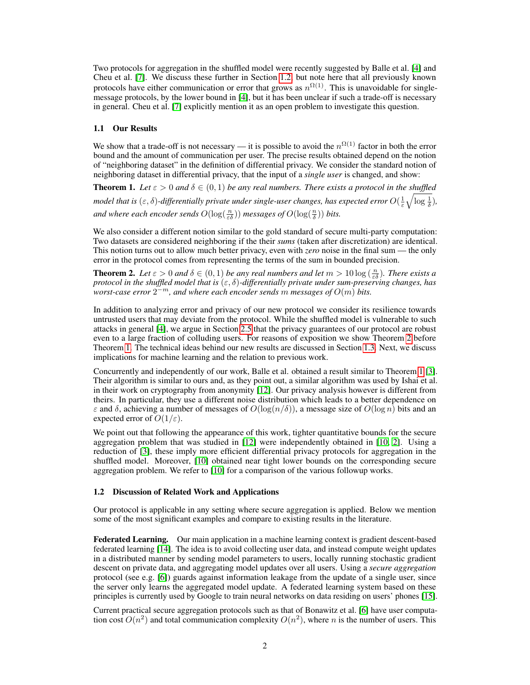Two protocols for aggregation in the shuffled model were recently suggested by Balle et al. [\[4\]](#page-16-2) and Cheu et al. [\[7\]](#page-16-1). We discuss these further in Section [1.2,](#page-1-0) but note here that all previously known protocols have either communication or error that grows as  $n^{\Omega(1)}$ . This is unavoidable for singlemessage protocols, by the lower bound in [\[4\]](#page-16-2), but it has been unclear if such a trade-off is necessary in general. Cheu et al. [\[7\]](#page-16-1) explicitly mention it as an open problem to investigate this question.

## 1.1 Our Results

We show that a trade-off is not necessary — it is possible to avoid the  $n^{\Omega(1)}$  factor in both the error bound and the amount of communication per user. The precise results obtained depend on the notion of "neighboring dataset" in the definition of differential privacy. We consider the standard notion of neighboring dataset in differential privacy, that the input of a *single user* is changed, and show:

<span id="page-1-2"></span>**Theorem 1.** Let  $\varepsilon > 0$  and  $\delta \in (0,1)$  be any real numbers. There exists a protocol in the shuffled model that is  $(\varepsilon,\delta)$ -differentially private under single-user changes, has expected error  $O(\frac{1}{\varepsilon}\sqrt{\log \frac{1}{\delta}})$ , and where each encoder sends  $O(\log(\frac{n}{\varepsilon\delta}))$  messages of  $O(\log(\frac{n}{\delta}))$  bits.

We also consider a different notion similar to the gold standard of secure multi-party computation: Two datasets are considered neighboring if the their *sums* (taken after discretization) are identical. This notion turns out to allow much better privacy, even with *zero* noise in the final sum — the only error in the protocol comes from representing the terms of the sum in bounded precision.

<span id="page-1-1"></span>**Theorem 2.** Let  $\varepsilon > 0$  and  $\delta \in (0,1)$  be any real numbers and let  $m > 10 \log(\frac{n}{\varepsilon \delta})$ . There exists a *protocol in the shuffled model that is*  $(\varepsilon, \delta)$ -differentially private under sum-preserving changes, has *worst-case error* 2 <sup>−</sup>m*, and where each encoder sends* m *messages of* O(m) *bits.*

In addition to analyzing error and privacy of our new protocol we consider its resilience towards untrusted users that may deviate from the protocol. While the shuffled model is vulnerable to such attacks in general [\[4\]](#page-16-2), we argue in Section [2.5](#page-15-0) that the privacy guarantees of our protocol are robust even to a large fraction of colluding users. For reasons of exposition we show Theorem [2](#page-1-1) before Theorem [1.](#page-1-2) The technical ideas behind our new results are discussed in Section [1.3.](#page-2-0) Next, we discuss implications for machine learning and the relation to previous work.

Concurrently and independently of our work, Balle et al. obtained a result similar to Theorem [1](#page-1-2) [\[3\]](#page-16-3). Their algorithm is similar to ours and, as they point out, a similar algorithm was used by Ishai et al. in their work on cryptography from anonymity [\[12\]](#page-17-1). Our privacy analysis however is different from theirs. In particular, they use a different noise distribution which leads to a better dependence on  $\varepsilon$  and  $\delta$ , achieving a number of messages of  $O(\log(n/\delta))$ , a message size of  $O(\log n)$  bits and an expected error of  $O(1/\varepsilon)$ .

We point out that following the appearance of this work, tighter quantitative bounds for the secure aggregation problem that was studied in [\[12\]](#page-17-1) were independently obtained in [\[10,](#page-17-2) [2\]](#page-16-4). Using a reduction of [\[3\]](#page-16-3), these imply more efficient differential privacy protocols for aggregation in the shuffled model. Moreover, [\[10\]](#page-17-2) obtained near tight lower bounds on the corresponding secure aggregation problem. We refer to [\[10\]](#page-17-2) for a comparison of the various followup works.

#### <span id="page-1-0"></span>1.2 Discussion of Related Work and Applications

Our protocol is applicable in any setting where secure aggregation is applied. Below we mention some of the most significant examples and compare to existing results in the literature.

Federated Learning. Our main application in a machine learning context is gradient descent-based federated learning [\[14\]](#page-17-3). The idea is to avoid collecting user data, and instead compute weight updates in a distributed manner by sending model parameters to users, locally running stochastic gradient descent on private data, and aggregating model updates over all users. Using a *secure aggregation* protocol (see e.g. [\[6\]](#page-16-5)) guards against information leakage from the update of a single user, since the server only learns the aggregated model update. A federated learning system based on these principles is currently used by Google to train neural networks on data residing on users' phones [\[15\]](#page-17-4).

Current practical secure aggregation protocols such as that of Bonawitz et al. [\[6\]](#page-16-5) have user computation cost  $O(n^2)$  and total communication complexity  $O(n^2)$ , where n is the number of users. This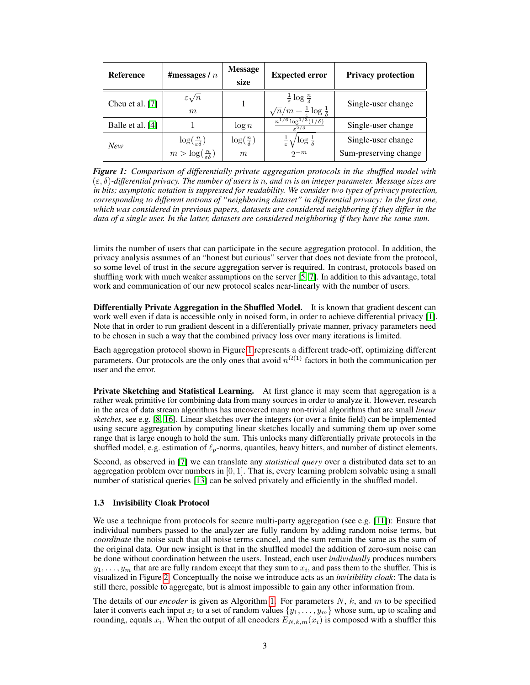<span id="page-2-1"></span>

| <b>Reference</b> | #messages $/ n$                                                                 | <b>Message</b><br>size        | <b>Expected error</b>                                                                                     | <b>Privacy protection</b>                   |
|------------------|---------------------------------------------------------------------------------|-------------------------------|-----------------------------------------------------------------------------------------------------------|---------------------------------------------|
| Cheu et al. [7]  | $\varepsilon \sqrt{n}$<br>m                                                     |                               | $rac{1}{\varepsilon} \log \frac{n}{\delta}$<br>$\sqrt{n}/m + \frac{1}{\varepsilon} \log \frac{1}{\delta}$ | Single-user change                          |
| Balle et al. [4] |                                                                                 | $\log n$                      | $n^{1/6} \log^{1/3}(1/\delta)$<br>$\epsilon^2/3$                                                          | Single-user change                          |
| <b>New</b>       | $\log(\frac{n}{\varepsilon\delta})$<br>$m > \log(\frac{n}{\varepsilon \delta})$ | $\log(\frac{n}{\delta})$<br>m | $\frac{1}{\varepsilon} \sqrt{\log \frac{1}{\delta}}$<br>$2^{-m}$                                          | Single-user change<br>Sum-preserving change |

*Figure 1: Comparison of differentially private aggregation protocols in the shuffled model with* (ε, δ)*-differential privacy. The number of users is* n*, and* m *is an integer parameter. Message sizes are in bits; asymptotic notation is suppressed for readability. We consider two types of privacy protection, corresponding to different notions of "neighboring dataset" in differential privacy: In the first one, which was considered in previous papers, datasets are considered neighboring if they differ in the data of a single user. In the latter, datasets are considered neighboring if they have the same sum.*

limits the number of users that can participate in the secure aggregation protocol. In addition, the privacy analysis assumes of an "honest but curious" server that does not deviate from the protocol, so some level of trust in the secure aggregation server is required. In contrast, protocols based on shuffling work with much weaker assumptions on the server [\[5,](#page-16-0) [7\]](#page-16-1). In addition to this advantage, total work and communication of our new protocol scales near-linearly with the number of users.

Differentially Private Aggregation in the Shuffled Model. It is known that gradient descent can work well even if data is accessible only in noised form, in order to achieve differential privacy [\[1\]](#page-16-6). Note that in order to run gradient descent in a differentially private manner, privacy parameters need to be chosen in such a way that the combined privacy loss over many iterations is limited.

Each aggregation protocol shown in Figure [1](#page-2-1) represents a different trade-off, optimizing different parameters. Our protocols are the only ones that avoid  $n^{\Omega(1)}$  factors in both the communication per user and the error.

Private Sketching and Statistical Learning. At first glance it may seem that aggregation is a rather weak primitive for combining data from many sources in order to analyze it. However, research in the area of data stream algorithms has uncovered many non-trivial algorithms that are small *linear sketches*, see e.g. [\[8,](#page-17-5) [16\]](#page-17-6). Linear sketches over the integers (or over a finite field) can be implemented using secure aggregation by computing linear sketches locally and summing them up over some range that is large enough to hold the sum. This unlocks many differentially private protocols in the shuffled model, e.g. estimation of  $\ell_p$ -norms, quantiles, heavy hitters, and number of distinct elements.

Second, as observed in [\[7\]](#page-16-1) we can translate any *statistical query* over a distributed data set to an aggregation problem over numbers in  $[0, 1]$ . That is, every learning problem solvable using a small number of statistical queries [\[13\]](#page-17-7) can be solved privately and efficiently in the shuffled model.

#### <span id="page-2-0"></span>1.3 Invisibility Cloak Protocol

We use a technique from protocols for secure multi-party aggregation (see e.g. [\[11\]](#page-17-8)): Ensure that individual numbers passed to the analyzer are fully random by adding random noise terms, but *coordinate* the noise such that all noise terms cancel, and the sum remain the same as the sum of the original data. Our new insight is that in the shuffled model the addition of zero-sum noise can be done without coordination between the users. Instead, each user *individually* produces numbers  $y_1, \ldots, y_m$  that are are fully random except that they sum to  $x_i$ , and pass them to the shuffler. This is visualized in Figure [2.](#page-3-0) Conceptually the noise we introduce acts as an *invisibility cloak*: The data is still there, possible to aggregate, but is almost impossible to gain any other information from.

The details of our *encoder* is given as Algorithm [1.](#page-3-1) For parameters  $N$ ,  $k$ , and  $m$  to be specified later it converts each input  $x_i$  to a set of random values  $\{y_1, \ldots, y_m\}$  whose sum, up to scaling and rounding, equals  $x_i$ . When the output of all encoders  $E_{N,k,m}(x_i)$  is composed with a shuffler this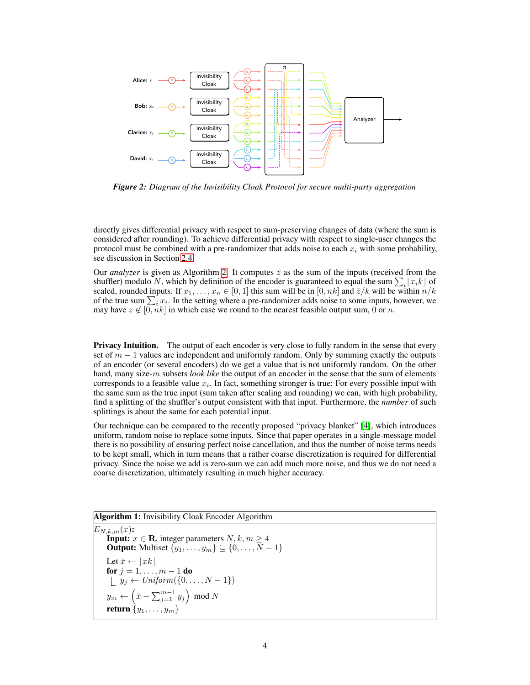<span id="page-3-0"></span>

*Figure 2: Diagram of the Invisibility Cloak Protocol for secure multi-party aggregation*

directly gives differential privacy with respect to sum-preserving changes of data (where the sum is considered after rounding). To achieve differential privacy with respect to single-user changes the protocol must be combined with a pre-randomizer that adds noise to each  $x_i$  with some probability, see discussion in Section [2.4.](#page-9-0)

Our *analyzer* is given as Algorithm [2.](#page-4-1) It computes  $\bar{z}$  as the sum of the inputs (received from the shuffler) modulo N, which by definition of the encoder is guaranteed to equal the sum  $\sum_i [x_i k]$  of scaled, rounded inputs. If  $x_1, \ldots, x_n \in [0, 1]$  this sum will be in  $[0, nk]$  and  $\bar{z}/k$  will be within  $n/k$ of the true sum  $\sum_i x_i$ . In the setting where a pre-randomizer adds noise to some inputs, however, we may have  $z \notin [0, nk]$  in which case we round to the nearest feasible output sum, 0 or n.

**Privacy Intuition.** The output of each encoder is very close to fully random in the sense that every set of  $m - 1$  values are independent and uniformly random. Only by summing exactly the outputs of an encoder (or several encoders) do we get a value that is not uniformly random. On the other hand, many size-m subsets *look like* the output of an encoder in the sense that the sum of elements corresponds to a feasible value  $x_i$ . In fact, something stronger is true: For every possible input with the same sum as the true input (sum taken after scaling and rounding) we can, with high probability, find a splitting of the shuffler's output consistent with that input. Furthermore, the *number* of such splittings is about the same for each potential input.

Our technique can be compared to the recently proposed "privacy blanket" [\[4\]](#page-16-2), which introduces uniform, random noise to replace some inputs. Since that paper operates in a single-message model there is no possibility of ensuring perfect noise cancellation, and thus the number of noise terms needs to be kept small, which in turn means that a rather coarse discretization is required for differential privacy. Since the noise we add is zero-sum we can add much more noise, and thus we do not need a coarse discretization, ultimately resulting in much higher accuracy.

<span id="page-3-1"></span>Algorithm 1: Invisibility Cloak Encoder Algorithm  $E_{N,k,m}(x)$ : **Input:**  $x \in \mathbf{R}$ , integer parameters  $N, k, m \geq 4$ **Output:** Multiset  $\{y_1, \ldots, y_m\} \subseteq \{0, \ldots, \overline{N} - 1\}$ Let  $\bar{x} \leftarrow |xk|$ for  $j=1,\ldots,m-1$  do  $y_j \leftarrow Uniform(\{0, \ldots, N-1\})$  $y_m \leftarrow \left( \bar{x} - \sum_{j=1}^{m-1} y_j \right) \text{ mod } N$ return  $\{y_1, \ldots, y_m\}$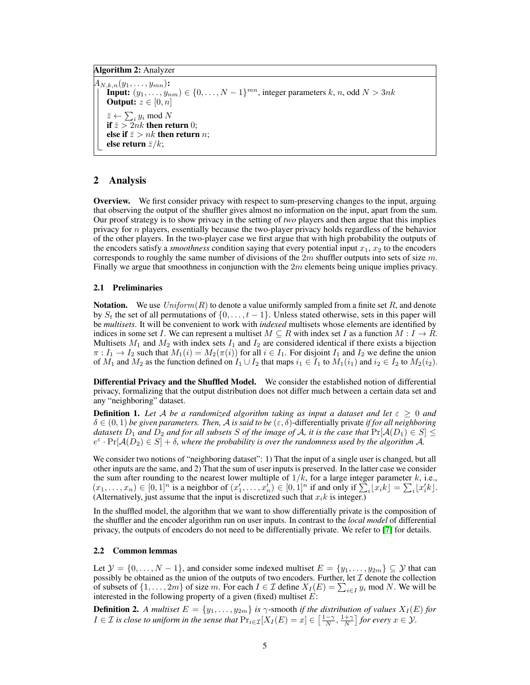Algorithm 2: Analyzer

 $A_{N,k,n}(y_1,\ldots,y_{mn})$ : **Input:**  $(y_1, \ldots, y_{nm}) \in \{0, \ldots, N-1\}^{mn}$ , integer parameters k, n, odd  $N > 3nk$ **Output:**  $z \in [0, n]$  $\bar{z} \leftarrow \sum_i y_i \text{ mod } N$ if  $\bar{z} > 2nk$  then return 0; else if  $\bar{z} > nk$  then return n; else return  $\bar{z}/k$ ;

## <span id="page-4-1"></span>2 Analysis

Overview. We first consider privacy with respect to sum-preserving changes to the input, arguing that observing the output of the shuffler gives almost no information on the input, apart from the sum. Our proof strategy is to show privacy in the setting of *two* players and then argue that this implies privacy for n players, essentially because the two-player privacy holds regardless of the behavior of the other players. In the two-player case we first argue that with high probability the outputs of the encoders satisfy a *smoothness* condition saying that every potential input  $x_1, x_2$  to the encoders corresponds to roughly the same number of divisions of the  $2m$  shuffler outputs into sets of size m. Finally we argue that smoothness in conjunction with the  $2m$  elements being unique implies privacy.

#### <span id="page-4-0"></span>2.1 Preliminaries

**Notation.** We use  $Uniform(R)$  to denote a value uniformly sampled from a finite set R, and denote by  $S_t$  the set of all permutations of  $\{0, \ldots, t-1\}$ . Unless stated otherwise, sets in this paper will be *multisets*. It will be convenient to work with *indexed* multisets whose elements are identified by indices in some set I. We can represent a multiset  $M \subseteq R$  with index set I as a function  $M : I \to R$ . Multisets  $M_1$  and  $M_2$  with index sets  $I_1$  and  $I_2$  are considered identical if there exists a bijection  $\pi : I_1 \to I_2$  such that  $M_1(i) = M_2(\pi(i))$  for all  $i \in I_1$ . For disjoint  $I_1$  and  $I_2$  we define the union of  $M_1$  and  $M_2$  as the function defined on  $I_1 \cup I_2$  that maps  $i_1 \in I_1$  to  $M_1(i_1)$  and  $i_2 \in I_2$  to  $M_2(i_2)$ .

Differential Privacy and the Shuffled Model. We consider the established notion of differential privacy, formalizing that the output distribution does not differ much between a certain data set and any "neighboring" dataset.

**Definition 1.** Let A be a randomized algorithm taking as input a dataset and let  $\varepsilon \geq 0$  and  $\delta \in (0,1)$  *be given parameters. Then, A is said to be*  $(\varepsilon, \delta)$ -differentially private *if for all neighboring datasets*  $D_1$  *and*  $D_2$  *and for all subsets* S *of the image of* A, *it is the case that*  $Pr[\mathcal{A}(D_1) \in S] \leq$  $e^{\varepsilon} \cdot \Pr[A(D_2) \in S] + \delta$ , where the probability is over the randomness used by the algorithm A.

We consider two notions of "neighboring dataset": 1) That the input of a single user is changed, but all other inputs are the same, and 2) That the sum of user inputs is preserved. In the latter case we consider the sum after rounding to the nearest lower multiple of  $1/k$ , for a large integer parameter k, i.e.,  $(x_1, \ldots, x_n) \in [0,1]^n$  is a neighbor of  $(x'_1, \ldots, x'_n) \in [0,1]^n$  if and only if  $\sum_i [x_i k] = \sum_i [x'_i k]$ . (Alternatively, just assume that the input is discretized such that  $x_i k$  is integer.)

In the shuffled model, the algorithm that we want to show differentially private is the composition of the shuffler and the encoder algorithm run on user inputs. In contrast to the *local model* of differential privacy, the outputs of encoders do not need to be differentially private. We refer to [\[7\]](#page-16-1) for details.

## 2.2 Common lemmas

Let  $\mathcal{Y} = \{0, \ldots, N-1\}$ , and consider some indexed multiset  $E = \{y_1, \ldots, y_{2m}\} \subseteq \mathcal{Y}$  that can possibly be obtained as the union of the outputs of two encoders. Further, let  $\mathcal I$  denote the collection of subsets of  $\{1, \ldots, 2m\}$  of size m. For each  $I \in \mathcal{I}$  define  $X_I(E) = \sum_{i \in I} y_i \text{ mod } N$ . We will be interested in the following property of a given (fixed) multiset  $\vec{E}$ :

<span id="page-4-2"></span>**Definition 2.** A multiset  $E = \{y_1, \ldots, y_{2m}\}$  is  $\gamma$ -smooth *if the distribution of values*  $X_I(E)$  *for*  $I \in \mathcal{I}$  is close to uniform in the sense that  $\Pr_{i \in \mathcal{I}}[X_I(E) = x] \in \left[\frac{1-\gamma}{N}, \frac{1+\gamma}{N}\right]$  for every  $x \in \mathcal{Y}$ .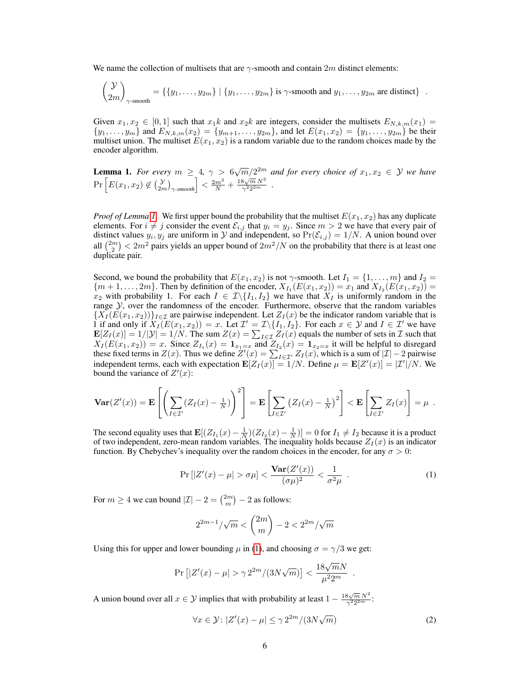We name the collection of multisets that are  $\gamma$ -smooth and contain 2m distinct elements:

$$
\begin{pmatrix} \mathcal{Y} \\ 2m \end{pmatrix}_{\gamma\text{-smooth}} = \{ \{y_1, \dots, y_{2m}\} \mid \{y_1, \dots, y_{2m}\} \text{ is } \gamma\text{-smooth and } y_1, \dots, y_{2m} \text{ are distinct} \} .
$$

Given  $x_1, x_2 \in [0,1]$  such that  $x_1k$  and  $x_2k$  are integers, consider the multisets  $E_{N,k,m}(x_1)$  ${y_1, \ldots, y_m}$  and  $E_{N,k,m}(x_2) = {y_{m+1}, \ldots, y_{2m}}$ , and let  $E(x_1, x_2) = {y_1, \ldots, y_{2m}}$  be their multiset union. The multiset  $E(x_1, x_2)$  is a random variable due to the random choices made by the encoder algorithm.

<span id="page-5-0"></span>**Lemma 1.** For every  $m \geq 4$ ,  $\gamma > 6\sqrt{m}/2^{2m}$  and for every choice of  $x_1, x_2 \in \mathcal{Y}$  we have  $\Pr\left[E(x_1, x_2) \notin {y \choose 2m}_{\gamma\text{-smooth}}\right] < \frac{2m^2}{N} + \frac{18\sqrt{m} N^2}{\gamma^2 2^{2m}}$  $\frac{3\sqrt{m}N^2}{\gamma^2 2^{2m}}$  .

*Proof of Lemma [1.](#page-5-0)* We first upper bound the probability that the multiset  $E(x_1, x_2)$  has any duplicate elements. For  $i \neq j$  consider the event  $\mathcal{E}_{i,j}$  that  $y_i = y_j$ . Since  $m > 2$  we have that every pair of distinct values  $y_i, y_j$  are uniform in  $\mathcal Y$  and independent, so  $Pr(\mathcal E_{i,j}) = 1/N$ . A union bound over all  $\binom{2m}{2} < 2m^2$  pairs yields an upper bound of  $2m^2/N$  on the probability that there is at least one duplicate pair.

Second, we bound the probability that  $E(x_1, x_2)$  is not  $\gamma$ -smooth. Let  $I_1 = \{1, \ldots, m\}$  and  $I_2 =$  $\{m+1, \ldots, 2m\}$ . Then by definition of the encoder,  $X_{I_1}(E(x_1, x_2)) = x_1$  and  $X_{I_2}(E(x_1, x_2)) =$ x<sub>2</sub> with probability 1. For each  $I \in \mathcal{I}\backslash\{I_1, I_2\}$  we have that  $X_I$  is uniformly random in the range  $\mathcal{Y}$ , over the randomness of the encoder. Furthermore, observe that the random variables  ${X_I (E(x_1, x_2))}_{I \in \mathcal{I}}$  are pairwise independent. Let  $Z_I(x)$  be the indicator random variable that is 1 if and only if  $X_I(E(x_1, x_2)) = x$ . Let  $\mathcal{I}' = \mathcal{I} \setminus \{I_1, I_2\}$ . For each  $x \in \mathcal{Y}$  and  $I \in \mathcal{I}'$  we have  $\mathbf{E}[Z_I(x)] = 1/|\mathcal{Y}| = 1/N$ . The sum  $Z(x) = \sum_{I \in \mathcal{I}} Z_I(x)$  equals the number of sets in  $\mathcal{I}$  such that  $X_I(E(x_1, x_2)) = x$ . Since  $Z_{I_1}(x) = \mathbf{1}_{x_1=x}$  and  $Z_{I_2}(x) = \mathbf{1}_{x_2=x}$  it will be helpful to disregard these fixed terms in  $Z(x)$ . Thus we define  $Z'(x) = \sum_{I \in \mathcal{I}'} Z_I(x)$ , which is a sum of  $|\mathcal{I}| - 2$  pairwise independent terms, each with expectation  $\mathbf{E}[Z_I(x)] = 1/N$ . Define  $\mu = \mathbf{E}[Z'(x)] = |Z'|/N$ . We bound the variance of  $Z'(x)$ :

$$
\mathbf{Var}(Z'(x)) = \mathbf{E}\left[\left(\sum_{I \in \mathcal{I}'} (Z_I(x) - \frac{1}{N})\right)^2\right] = \mathbf{E}\left[\sum_{I \in \mathcal{I}'} (Z_I(x) - \frac{1}{N})^2\right] < \mathbf{E}\left[\sum_{I \in \mathcal{I}'} Z_I(x)\right] = \mu.
$$

The second equality uses that  $\mathbf{E}[(Z_{I_1}(x) - \frac{1}{N})(Z_{I_2}(x) - \frac{1}{N})] = 0$  for  $I_1 \neq I_2$  because it is a product of two independent, zero-mean random variables. The inequality holds because  $Z_I(x)$  is an indicator function. By Chebychev's inequality over the random choices in the encoder, for any  $\sigma > 0$ :

$$
\Pr\left[|Z'(x) - \mu| > \sigma\mu\right] < \frac{\text{Var}(Z'(x))}{(\sigma\mu)^2} < \frac{1}{\sigma^2\mu} \tag{1}
$$

For  $m \ge 4$  we can bound  $|\mathcal{I}| - 2 = \binom{2m}{m} - 2$  as follows:

$$
2^{2m-1}/\sqrt{m} < \binom{2m}{m} - 2 < 2^{2m}/\sqrt{m}
$$

Using this for upper and lower bounding  $\mu$  in [\(1\)](#page-5-1), and choosing  $\sigma = \gamma/3$  we get:

$$
\Pr\left[|Z'(x)-\mu|>\gamma 2^{2m}/(3N\sqrt{m})\right]<\frac{18\sqrt{m}N}{\mu^2 2^m}
$$

A union bound over all  $x \in \mathcal{Y}$  implies that with probability at least  $1 - \frac{18\sqrt{m} N^2}{2^2 2^2 m}$  $\frac{5\sqrt{m N}}{\gamma^2 2^{2m}}$ :

$$
\forall x \in \mathcal{Y}: |Z'(x) - \mu| \le \gamma 2^{2m} / (3N\sqrt{m})
$$
 (2)

<span id="page-5-2"></span><span id="page-5-1"></span>.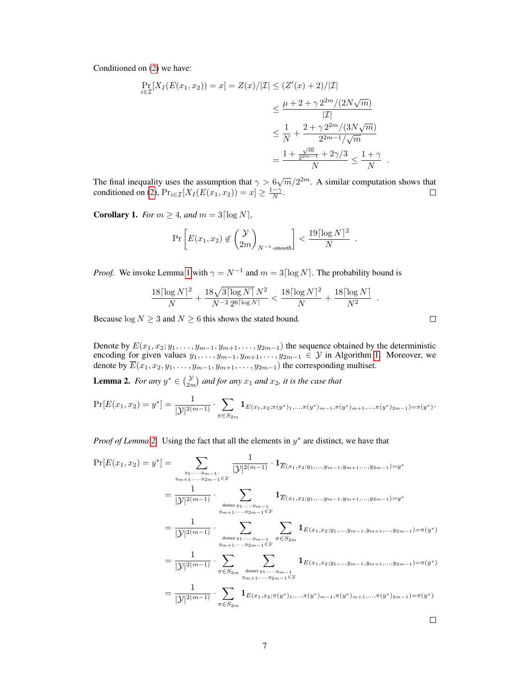Conditioned on [\(2\)](#page-5-2) we have:

$$
\Pr_{i \in \mathcal{I}}[X_I(E(x_1, x_2)) = x] = Z(x)/|\mathcal{I}| \le (Z'(x) + 2)/|\mathcal{I}|
$$
  
\n
$$
\le \frac{\mu + 2 + \gamma 2^{2m}/(2N\sqrt{m})}{|\mathcal{I}|}
$$
  
\n
$$
\le \frac{1}{N} + \frac{2 + \gamma 2^{2m}/(3N\sqrt{m})}{2^{2m-1}/\sqrt{m}}
$$
  
\n
$$
= \frac{1 + \frac{\gamma}{2^{2m-1}} + 2\gamma/3}{N} \le \frac{1 + \gamma}{N}.
$$

The final inequality uses the assumption that  $\gamma > 6\sqrt{m}/2^{2m}$ . A similar computation shows that conditioned on [\(2\)](#page-5-2),  $Pr_{i \in \mathcal{I}}[X_I(E(x_1, x_2)) = x] \ge \frac{1-\gamma}{N}$ .

**Corollary 1.** *For*  $m \geq 4$ *, and*  $m = 3 \lceil \log N \rceil$ *,* 

$$
\Pr\left[E(x_1, x_2) \notin \binom{\mathcal{Y}}{2m}_{N^{-1}\text{-smooth}}\right] < \frac{19\lceil \log N \rceil^2}{N} \; .
$$

*Proof.* We invoke Lemma [1](#page-5-0) with  $\gamma = N^{-1}$  and  $m = 3 \lceil \log N \rceil$ . The probability bound is

$$
\frac{18 \lceil \log N \rceil^2}{N} + \frac{18 \sqrt{3 \lceil \log N \rceil} \, N^2}{N^{-2} \, 2^{6 \lceil \log N \rceil}} < \frac{18 \lceil \log N \rceil^2}{N} + \frac{18 \lceil \log N \rceil}{N^2}
$$

Because  $\log N \geq 3$  and  $N \geq 6$  this shows the stated bound.

Denote by  $E(x_1, x_2; y_1, \ldots, y_{m-1}, y_{m+1}, \ldots, y_{2m-1})$  the sequence obtained by the deterministic encoding for given values  $y_1, \ldots, y_{m-1}, y_{m+1}, \ldots, y_{2m-1} \in \mathcal{Y}$  in Algorithm [1.](#page-3-1) Moreover, we denote by  $E(x_1, x_2, y_1, \ldots, y_{m-1}, y_{m+1}, \ldots, y_{2m-1})$  the corresponding multiset.

<span id="page-6-0"></span>**Lemma 2.** *For any*  $y^* \in \begin{pmatrix} y \\ 2m \end{pmatrix}$  and for any  $x_1$  and  $x_2$ , it is the case that

$$
\Pr[E(x_1, x_2) = y^*] = \frac{1}{|y|^{2(m-1)}} \cdot \sum_{\pi \in S_{2m}} \mathbf{1}_{E(x_1, x_2; \pi(y^*), \dots, \pi(y^*)_{m-1}, \pi(y^*)_{m+1}, \dots, \pi(y^*)_{2m-1}) = \pi(y^*)}.
$$

*Proof of Lemma* [2.](#page-6-0) Using the fact that all the elements in  $y^*$  are distinct, we have that

1

$$
\Pr[E(x_1, x_2) = y^*] = \sum_{\substack{y_1, \dots, y_{m-1}, \\ y_{m+1}, \dots, y_{2m-1} \in \mathcal{Y}}} \frac{1}{|\mathcal{Y}|^{2(m-1)}} \cdot \mathbf{1}_{\overline{E}(x_1, x_2; y_1, \dots, y_{m-1}, y_{m+1}, \dots, y_{2m-1}) = y^*}
$$
\n
$$
= \frac{1}{|\mathcal{Y}|^{2(m-1)}} \cdot \sum_{\substack{y_{m+1}, \dots, y_{m-1} \\ y_{m+1}, \dots, y_{2m-1} \in \mathcal{Y}}} \mathbf{1}_{\overline{E}(x_1, x_2; y_1, \dots, y_{m-1}, y_{m+1}, \dots, y_{2m-1}) = y^*}
$$
\n
$$
= \frac{1}{|\mathcal{Y}|^{2(m-1)}} \cdot \sum_{\substack{y_{m+1}, \dots, y_{m-1} \\ y_{m+1}, \dots, y_{2m-1} \in \mathcal{Y}}} \sum_{\pi \in S_{2m}} \mathbf{1}_{E(x_1, x_2; y_1, \dots, y_{m-1}, y_{m+1}, \dots, y_{2m-1}) = \pi(y^*)}
$$
\n
$$
= \frac{1}{|\mathcal{Y}|^{2(m-1)}} \cdot \sum_{\pi \in S_{2m}} \sum_{\substack{y_{m+1}, \dots, y_{m-1} \\ y_{m+1}, \dots, y_{2m-1} \in \mathcal{Y}}} \mathbf{1}_{E(x_1, x_2; y_1, \dots, y_{m-1}, y_{m+1}, \dots, y_{2m-1}) = \pi(y^*)}
$$
\n
$$
= \frac{1}{|\mathcal{Y}|^{2(m-1)}} \cdot \sum_{\pi \in S_{2m}} \mathbf{1}_{E(x_1, x_2; \pi(y^*)_1, \dots, \pi(y^*)_{m-1}, \pi(y^*)_{m+1}, \dots, \pi(y^*)_{2m-1}) = \pi(y^*)}
$$
\n
$$
\Box
$$

 $\Box$ 

.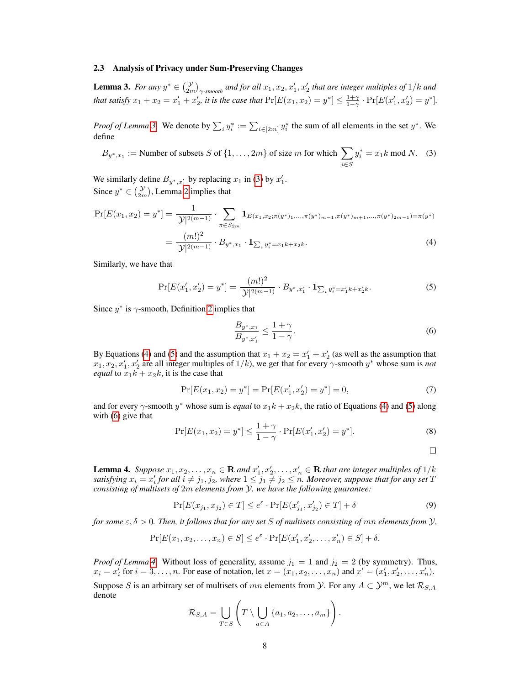#### 2.3 Analysis of Privacy under Sum-Preserving Changes

<span id="page-7-0"></span>**Lemma 3.** For any  $y^* \in \left(\frac{y}{2m}\right)_{\gamma\text{-smooth}}$  and for all  $x_1, x_2, x'_1, x'_2$  that are integer multiples of  $1/k$  and *that satisfy*  $x_1 + x_2 = x'_1 + x'_2$ , *it is the case that*  $Pr[E(x_1, x_2) = y^*] \le \frac{1+\gamma}{1-\gamma} \cdot Pr[E(x'_1, x'_2) = y^*]$ .

*Proof of Lemma* [3.](#page-7-0) We denote by  $\sum_i y_i^* := \sum_{i \in [2m]} y_i^*$  the sum of all elements in the set  $y^*$ . We define

<span id="page-7-1"></span>
$$
B_{y^*,x_1} := \text{Number of subsets } S \text{ of } \{1,\ldots,2m\} \text{ of size } m \text{ for which } \sum_{i \in S} y_i^* = x_1 k \text{ mod } N. \tag{3}
$$

We similarly define  $B_{y^*,x_1}$  by replacing  $x_1$  in [\(3\)](#page-7-1) by  $x_1'$ . Since  $y^* \in {\mathcal{Y} \choose 2m}$  $y^* \in {\mathcal{Y} \choose 2m}$  $y^* \in {\mathcal{Y} \choose 2m}$ , Lemma 2 implies that

$$
\Pr[E(x_1, x_2) = y^*] = \frac{1}{|\mathcal{Y}|^{2(m-1)}} \cdot \sum_{\pi \in S_{2m}} \mathbf{1}_{E(x_1, x_2; \pi(y^*), \dots, \pi(y^*)_{m-1}, \pi(y^*)_{m+1}, \dots, \pi(y^*)_{2m-1}) = \pi(y^*)}
$$
  
\n
$$
= \frac{(m!)^2}{|\mathcal{Y}|^{2(m-1)}} \cdot \sum_{\pi \in S_{2m}} \mathbf{1}_{\pi} \cdot \frac{(m!)^2}{|\mathcal{Y}|^{2(m-1)}} \cdot \frac{1}{|\mathcal{Y}|^{2(m-1)}} \cdot \frac{(m!)^2}{|\mathcal{Y}|^{2(m-1)}} \cdot \frac{(m!)^2}{|\mathcal{Y}|^{2(m-1)}} = \frac{(m!)^2}{|\mathcal{Y}|^{2(m-1)}} \cdot \frac{(m!)^2}{|\mathcal{Y}|^{2(m-1)}} = \frac{(m!)^2}{|\mathcal{Y}|^{2(m-1)}} = \frac{(m!)^2}{|\mathcal{Y}|^{2(m-1)}} = \frac{(m!)^2}{|\mathcal{Y}|^{2(m-1)}} = \frac{(m!)^2}{|\mathcal{Y}|^{2(m-1)}} = \frac{(m!)^2}{|\mathcal{Y}|^{2(m-1)}} = \frac{(m!)^2}{|\mathcal{Y}|^{2(m-1)}} = \frac{(m!)^2}{|\mathcal{Y}|^{2(m-1)}} = \frac{(m!)^2}{|\mathcal{Y}|^{2(m-1)}} = \frac{(m!)^2}{|\mathcal{Y}|^{2(m-1)}} = \frac{(m!)^2}{|\mathcal{Y}|^{2(m-1)}} = \frac{(m!)^2}{|\mathcal{Y}|^{2(m-1)}} = \frac{(m!)^2}{|\mathcal{Y}|^{2(m-1)}} = \frac{(m!)^2}{|\mathcal{Y}|^{2(m-1)}} = \frac{(m!)^2}{|\mathcal{Y}|^{2(m-1)}} = \frac{(m!)^2}{|\mathcal{Y}|^{2(m-1)}} = \frac{(m!)^2}{|\mathcal{Y}|^{2(m-1)}} = \frac{(m!)^2}{|\mathcal{Y}|^{2(m-1)}} = \frac{(m!)^2}{|\mathcal{Y}|^{2(m-1)}} = \frac{(m!)^2}{|\mathcal{Y}|^{2(m-1)}} = \frac{(m!)^2}{|\mathcal{Y}|^{2(m-1)}} = \frac{(m!)^2}{|\mathcal{Y}|^{2(m-1)}} = \frac{(m!)^2}{|\mathcal{Y}|^{2(m-1)}} = \
$$

<span id="page-7-3"></span>
$$
= \frac{(m!)^2}{|\mathcal{Y}|^{2(m-1)}} \cdot B_{y^*,x_1} \cdot \mathbf{1}_{\sum_i y_i^* = x_1 k + x_2 k}.\tag{4}
$$

Similarly, we have that

$$
\Pr[E(x'_1, x'_2) = y^*] = \frac{(m!)^2}{|\mathcal{Y}|^{2(m-1)}} \cdot B_{y^*, x'_1} \cdot \mathbf{1}_{\sum_i y_i^* = x'_1 k + x'_2 k}.\tag{5}
$$

Since  $y^*$  is  $\gamma$ -smooth, Definition [2](#page-4-2) implies that

<span id="page-7-4"></span><span id="page-7-2"></span>
$$
\frac{B_{y^*,x_1}}{B_{y^*,x_1'}} \le \frac{1+\gamma}{1-\gamma}.\tag{6}
$$

By Equations [\(4\)](#page-7-2) and [\(5\)](#page-7-3) and the assumption that  $x_1 + x_2 = x_1' + x_2'$  (as well as the assumption that  $x_1, x_2, x_1', x_2'$  are all integer multiples of  $1/k$ ), we get that for every  $\gamma$ -smooth  $y^*$  whose sum is *not equal* to  $x_1k + x_2k$ , it is the case that

$$
\Pr[E(x_1, x_2) = y^*] = \Pr[E(x'_1, x'_2) = y^*] = 0,\tag{7}
$$

and for every  $\gamma$ -smooth  $y^*$  whose sum is *equal* to  $x_1k + x_2k$ , the ratio of Equations [\(4\)](#page-7-2) and [\(5\)](#page-7-3) along with [\(6\)](#page-7-4) give that

$$
\Pr[E(x_1, x_2) = y^*] \le \frac{1 + \gamma}{1 - \gamma} \cdot \Pr[E(x'_1, x'_2) = y^*].\tag{8}
$$

<span id="page-7-6"></span> $\Box$ 

<span id="page-7-5"></span>**Lemma 4.** Suppose  $x_1, x_2, \ldots, x_n \in \mathbf{R}$  and  $x'_1, x'_2, \ldots, x'_n \in \mathbf{R}$  that are integer multiples of  $1/k$ satisfying  $x_i = x'_i$  for all  $i \neq j_1, j_2$ , where  $1 \leq j_1 \neq j_2 \leq n$ . Moreover, suppose that for any set T *consisting of multisets of* 2m *elements from* Y*, we have the following guarantee:*

$$
\Pr[E(x_{j_1}, x_{j_2}) \in T] \le e^{\varepsilon} \cdot \Pr[E(x'_{j_1}, x'_{j_2}) \in T] + \delta
$$
\n(9)

*for some*  $\varepsilon$ ,  $\delta > 0$ *. Then, it follows that for any set S of multisets consisting of mn elements from*  $\mathcal{Y}$ *,* 

$$
\Pr[E(x_1, x_2, \dots, x_n) \in S] \le e^{\varepsilon} \cdot \Pr[E(x'_1, x'_2, \dots, x'_n) \in S] + \delta.
$$

*Proof of Lemma [4.](#page-7-5)* Without loss of generality, assume  $j_1 = 1$  and  $j_2 = 2$  (by symmetry). Thus,  $x_i = x_i'$  for  $i = 3, \ldots, n$ . For ease of notation, let  $x = (x_1, x_2, \ldots, x_n)$  and  $x' = (x'_1, x'_2, \ldots, x'_n)$ . Suppose S is an arbitrary set of multisets of mn elements from  $\mathcal{Y}$ . For any  $A \subset \mathcal{Y}^m$ , we let  $\mathcal{R}_{S,A}$ 

denote

$$
\mathcal{R}_{S,A} = \bigcup_{T \in S} \left( T \setminus \bigcup_{a \in A} \{a_1, a_2, \ldots, a_m\} \right).
$$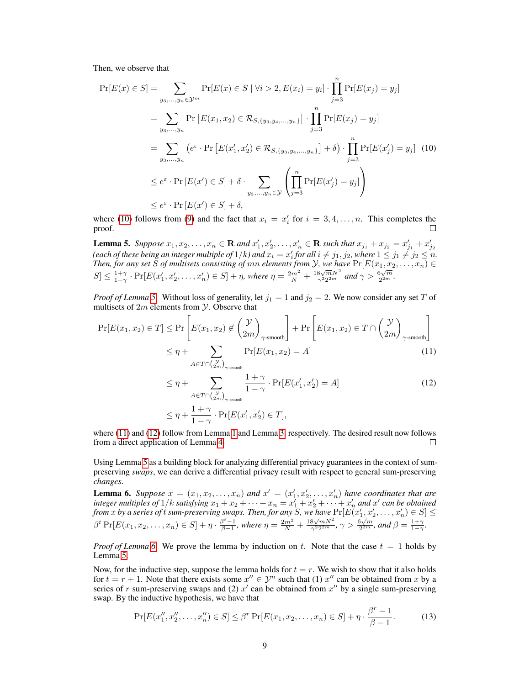Then, we observe that

<span id="page-8-0"></span>
$$
\Pr[E(x) \in S] = \sum_{y_3, \dots, y_n \in \mathcal{Y}^m} \Pr[E(x) \in S \mid \forall i > 2, E(x_i) = y_i] \cdot \prod_{j=3}^n \Pr[E(x_j) = y_j]
$$
  
\n
$$
= \sum_{y_3, \dots, y_n} \Pr[E(x_1, x_2) \in \mathcal{R}_{S, \{y_3, y_4, \dots, y_n\}}] \cdot \prod_{j=3}^n \Pr[E(x_j) = y_j]
$$
  
\n
$$
= \sum_{y_3, \dots, y_n} \left( e^{\varepsilon} \cdot \Pr[E(x'_1, x'_2) \in \mathcal{R}_{S, \{y_3, y_4, \dots, y_n\}}] + \delta \right) \cdot \prod_{j=3}^n \Pr[E(x'_j) = y_j] \tag{10}
$$
  
\n
$$
\leq e^{\varepsilon} \cdot \Pr[E(x') \in S] + \delta \cdot \sum_{y_3, \dots, y_n \in \mathcal{Y}} \left( \prod_{j=3}^n \Pr[E(x'_j) = y_j] \right)
$$
  
\n
$$
\leq e^{\varepsilon} \cdot \Pr[E(x') \in S] + \delta,
$$

where [\(10\)](#page-8-0) follows from [\(9\)](#page-7-6) and the fact that  $x_i = x'_i$  for  $i = 3, 4, ..., n$ . This completes the proof.

<span id="page-8-1"></span>**Lemma 5.** Suppose  $x_1, x_2, ..., x_n \in \mathbb{R}$  and  $x'_1, x'_2, ..., x'_n \in \mathbb{R}$  such that  $x_{j_1} + x_{j_2} = x'_{j_1} + x'_{j_2}$ <br>(each of these being an integer multiple of  $1/k$ ) and  $x_i = x'_i$  for all  $i \neq j_1, j_2$ , where  $1 \leq j_1 \neq j_2 \leq n$ *Then, for any set* S *of multisets consisting of*  $mn$  *elements from*  $\mathcal{Y}$ *, we have*  $Pr[E(x_1, x_2, \ldots, x_n) \in$  $S \leq \frac{1+\gamma}{1-\gamma} \cdot \Pr[E(x'_1, x'_2, \ldots, x'_n) \in S] + \eta$ , where  $\eta = \frac{2m^2}{N} + \frac{18\sqrt{m}N^2}{\gamma^2 2^{2m}}$  $\frac{8\sqrt{m}N^2}{\gamma^2 2^{2m}}$  and  $\gamma > \frac{6\sqrt{m}}{2^{2m}}$  $\frac{2\sqrt{m}}{2^{2m}}$ .

*Proof of Lemma* [5.](#page-8-1) Without loss of generality, let  $j_1 = 1$  and  $j_2 = 2$ . We now consider any set T of multisets of  $2m$  elements from  $\mathcal Y$ . Observe that

$$
\Pr[E(x_1, x_2) \in T] \le \Pr\left[E(x_1, x_2) \notin \binom{\mathcal{Y}}{2m} \underset{\gamma\text{-smooth}}{\sim} \right] + \Pr\left[E(x_1, x_2) \in T \cap \binom{\mathcal{Y}}{2m} \underset{\gamma\text{-smooth}}{\sim} \right] \tag{11}
$$

<span id="page-8-3"></span><span id="page-8-2"></span>
$$
\leq \eta + \sum_{A \in T \cap \binom{\mathcal{Y}}{2m}, \gamma\text{-smooth}} \frac{1+\gamma}{1-\gamma} \cdot \Pr[E(x_1', x_2') = A] \tag{12}
$$

$$
\leq \eta + \frac{1+\gamma}{1-\gamma} \cdot \Pr[E(x'_1, x'_2) \in T],
$$

where [\(11\)](#page-8-2) and [\(12\)](#page-8-3) follow from Lemma [1](#page-5-0) and Lemma [3,](#page-7-0) respectively. The desired result now follows from a direct application of Lemma [4.](#page-7-5)  $\Box$ 

Using Lemma [5](#page-8-1) as a building block for analyzing differential privacy guarantees in the context of sumpreserving *swaps*, we can derive a differential privacy result with respect to general sum-preserving *changes*.

<span id="page-8-4"></span>**Lemma 6.** Suppose  $x = (x_1, x_2, \ldots, x_n)$  and  $x' = (x'_1, x'_2, \ldots, x'_n)$  have coordinates that are integer multiples of  $1/k$  satisfying  $x_1 + x_2 + \cdots + x_n = x_1^r + x_2^r + \cdots + x_n^r$  and  $x^r$  can be obtained from  $x$  by a series of  $t$  sum-preserving swaps. Then, for any  $S$ , we have  $\Pr[E(x_1', x_2', \ldots, x_n') \in S] \leq$  $β<sup>t</sup> Pr[E(x<sub>1</sub>, x<sub>2</sub>, ..., x<sub>n</sub>) ∈ S] + η ⋅ β<sup>t-1</sup>/<sub>β-1</sub>, where η =  $\frac{2m^2}{N} + \frac{18\sqrt{m}N^2}{\gamma^2 2^{2m}}$$  $\frac{8\sqrt{m}N^2}{\gamma^2 2^{2m}}, \gamma > \frac{6\sqrt{m}}{2^{2m}}$  $\frac{\beta\sqrt{m}}{2^{2m}}$ *, and*  $\beta = \frac{1+\gamma}{1-\gamma}$ *.* 

*Proof of Lemma* [6.](#page-8-4) We prove the lemma by induction on t. Note that the case  $t = 1$  holds by Lemma [5.](#page-8-1)

Now, for the inductive step, suppose the lemma holds for  $t = r$ . We wish to show that it also holds for  $t = r + 1$ . Note that there exists some  $x'' \in \mathcal{Y}^n$  such that (1)  $x''$  can be obtained from x by a series of r sum-preserving swaps and (2)  $x'$  can be obtained from  $x''$  by a single sum-preserving swap. By the inductive hypothesis, we have that

<span id="page-8-5"></span>
$$
\Pr[E(x_1'', x_2'', \dots, x_n'') \in S] \le \beta^r \Pr[E(x_1, x_2, \dots, x_n) \in S] + \eta \cdot \frac{\beta^r - 1}{\beta - 1}.
$$
 (13)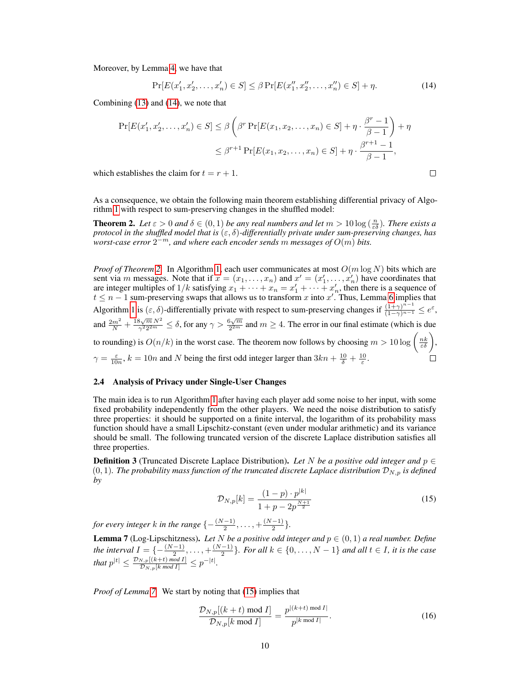Moreover, by Lemma [4,](#page-7-5) we have that

<span id="page-9-1"></span>
$$
\Pr[E(x'_1, x'_2, \dots, x'_n) \in S] \le \beta \Pr[E(x''_1, x''_2, \dots, x''_n) \in S] + \eta.
$$
\n(14)

Combining [\(13\)](#page-8-5) and [\(14\)](#page-9-1), we note that

$$
\Pr[E(x'_1, x'_2, \dots, x'_n) \in S] \le \beta \left(\beta^r \Pr[E(x_1, x_2, \dots, x_n) \in S] + \eta \cdot \frac{\beta^r - 1}{\beta - 1}\right) + \eta
$$
  

$$
\le \beta^{r+1} \Pr[E(x_1, x_2, \dots, x_n) \in S] + \eta \cdot \frac{\beta^{r+1} - 1}{\beta - 1},
$$
  
establishes the claim for  $t = r + 1$ .

which establishes the claim for  $t = r + 1$ .

As a consequence, we obtain the following main theorem establishing differential privacy of Algorithm [1](#page-3-1) with respect to sum-preserving changes in the shuffled model:

**Theorem 2.** Let  $\varepsilon > 0$  and  $\delta \in (0,1)$  be any real numbers and let  $m > 10 \log(\frac{n}{\varepsilon \delta})$ . There exists a *protocol in the shuffled model that is* (ε, δ)*-differentially private under sum-preserving changes, has*  $\omega$ worst-case error  $2^{-m}$ , and where each encoder sends  $m$  messages of  $O(m)$  bits.

*Proof of Theorem [2.](#page-1-1)* In Algorithm [1,](#page-3-1) each user communicates at most O(m log N) bits which are sent via m messages. Note that if  $x = (x_1, \ldots, x_n)$  and  $x' = (x'_1, \ldots, x'_n)$  have coordinates that are integer multiples of  $1/k$  satisfying  $x_1 + \cdots + x_n = x'_1 + \cdots + x'_n$ , then there is a sequence of  $t \leq n-1$  sum-preserving swaps that allows us to transform x into x'. Thus, Lemma [6](#page-8-4) implies that Algorithm [1](#page-3-1) is  $(\varepsilon, \delta)$ -differentially private with respect to sum-preserving changes if  $\frac{(1+\gamma)^{n-1}}{(1-\gamma)^{n-1}} \leq e^{\varepsilon}$ , and  $\frac{2m^2}{N} + \frac{18\sqrt{m} N^2}{\gamma^2 2^{2m}}$  $\frac{3\sqrt{m} N^2}{\gamma^2 2^{2m}} \le \delta$ , for any  $\gamma > \frac{6\sqrt{m}}{2^{2m}}$  $\frac{2\pi m}{2^{2m}}$  and  $m \geq 4$ . The error in our final estimate (which is due to rounding) is  $O(n/k)$  in the worst case. The theorem now follows by choosing  $m > 10 \log \left(\frac{n k}{\varepsilon \delta}\right)$ ,  $\gamma = \frac{\varepsilon}{10n}$ ,  $k = 10n$  and N being the first odd integer larger than  $3kn + \frac{10}{\delta} + \frac{10}{\varepsilon}$ .

#### <span id="page-9-0"></span>2.4 Analysis of Privacy under Single-User Changes

The main idea is to run Algorithm [1](#page-3-1) after having each player add some noise to her input, with some fixed probability independently from the other players. We need the noise distribution to satisfy three properties: it should be supported on a finite interval, the logarithm of its probability mass function should have a small Lipschitz-constant (even under modular arithmetic) and its variance should be small. The following truncated version of the discrete Laplace distribution satisfies all three properties.

<span id="page-9-3"></span>**Definition 3** (Truncated Discrete Laplace Distribution). Let N be a positive odd integer and  $p \in$  $(0, 1)$ *. The probability mass function of the truncated discrete Laplace distribution*  $\mathcal{D}_{N, p}$  *is defined by*

$$
\mathcal{D}_{N,p}[k] = \frac{(1-p) \cdot p^{|k|}}{1 + p - 2p^{\frac{N+1}{2}}} \tag{15}
$$

*for every integer k in the range*  $\{-\frac{(N-1)}{2}, \ldots, +\frac{(N-1)}{2}$  $\frac{-1}{2}$ .

<span id="page-9-2"></span>**Lemma 7** (Log-Lipschitzness). Let N be a positive odd integer and  $p \in (0, 1)$  a real number. Define *the interval*  $I = \{-\frac{(N-1)}{2}, \dots, +\frac{(N-1)}{2}\}$  $\frac{(-1)}{2}$ . For all  $k \in \{0, \ldots, N-1\}$  and all  $t \in I$ , it is the case *that*  $p^{|t|} \le \frac{\mathcal{D}_{N,p}[(k+t) \mod I]}{\mathcal{D}_{N,p}[k \mod I]} \le p^{-|t|}$ .

*Proof of Lemma [7.](#page-9-2)* We start by noting that [\(15\)](#page-9-3) implies that

<span id="page-9-4"></span>
$$
\frac{\mathcal{D}_{N,p}[(k+t) \bmod I]}{\mathcal{D}_{N,p}[k \bmod I]} = \frac{p^{|(k+t) \bmod I|}}{p^{|k \bmod I|}}.
$$
\n(16)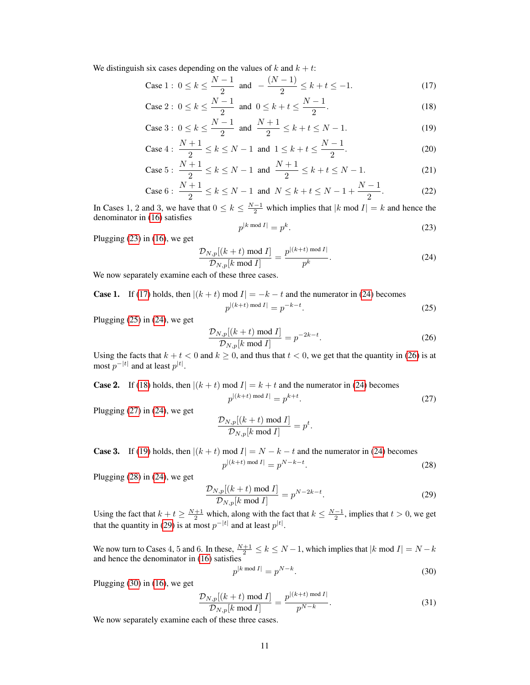We distinguish six cases depending on the values of k and  $k + t$ :

Case 1 : 
$$
0 \le k \le \frac{N-1}{2}
$$
 and  $-\frac{(N-1)}{2} \le k + t \le -1.$  (17)

Case 2 : 
$$
0 \le k \le \frac{N-1}{2}
$$
 and  $0 \le k + t \le \frac{N-1}{2}$ . (18)

Case 3: 
$$
0 \le k \le \frac{N-1}{2}
$$
 and  $\frac{N+1}{2} \le k + t \le N-1$ . (19)

Case 4: 
$$
\frac{N+1}{2} \le k \le N-1
$$
 and  $1 \le k + t \le \frac{N-1}{2}$ . (20)

Case 5: 
$$
\frac{N+1}{2} \le k \le N-1
$$
 and  $\frac{N+1}{2} \le k+t \le N-1$ . (21)

Case 6: 
$$
\frac{N+1}{2} \le k \le N-1
$$
 and  $N \le k + t \le N - 1 + \frac{N-1}{2}$ . (22)

In Cases 1, 2 and 3, we have that  $0 \le k \le \frac{N-1}{2}$  which implies that  $|k \mod I| = k$  and hence the denominator in [\(16\)](#page-9-4) satisfies

$$
p^{|k \bmod I|} = p^k. \tag{23}
$$

<span id="page-10-14"></span><span id="page-10-13"></span><span id="page-10-11"></span><span id="page-10-7"></span><span id="page-10-6"></span><span id="page-10-5"></span><span id="page-10-3"></span><span id="page-10-1"></span> $(25)$ 

<span id="page-10-8"></span>. (28)

Plugging [\(23\)](#page-10-0) in [\(16\)](#page-9-4), we get

<span id="page-10-2"></span><span id="page-10-0"></span>
$$
\frac{\mathcal{D}_{N,p}[(k+t) \bmod I]}{\mathcal{D}_{N,p}[k \bmod I]} = \frac{p^{\lfloor (k+t) \bmod I \rfloor}}{p^k}.
$$
\n(24)

We now separately examine each of these three cases.

**Case 1.** If [\(17\)](#page-10-1) holds, then  $|(k + t) \text{ mod } I| = -k - t$  and the numerator in [\(24\)](#page-10-2) becomes  $p^{\lvert (k+t) \text{ mod } I \rvert} = p^{-k-t}$ 

Plugging [\(25\)](#page-10-3) in [\(24\)](#page-10-2), we get

<span id="page-10-4"></span>
$$
\frac{\mathcal{D}_{N,p}[(k+t) \bmod I]}{\mathcal{D}_{N,p}[k \bmod I]} = p^{-2k-t}.
$$
\n(26)

Using the facts that  $k + t < 0$  and  $k \ge 0$ , and thus that  $t < 0$ , we get that the quantity in [\(26\)](#page-10-4) is at most  $p^{-|t|}$  and at least  $p^{|t|}$ .

**Case 2.** If (18) holds, then 
$$
|(k + t) \text{ mod } I| = k + t
$$
 and the numerator in (24) becomes  

$$
p^{|(k+t) \text{ mod } I|} = p^{k+t}.
$$
 (27)

Plugging [\(27\)](#page-10-6) in [\(24\)](#page-10-2), we get

$$
\frac{\mathcal{D}_{N,p}[(k+t) \bmod I]}{\mathcal{D}_{N,p}[k \bmod I]} = p^t.
$$

**Case 3.** If [\(19\)](#page-10-7) holds, then  $|(k + t) \text{ mod } I| = N - k - t$  and the numerator in [\(24\)](#page-10-2) becomes  $p^{\left\lfloor(k+t)\bmod I\right\rfloor} = p^{N-k-t}$ 

Plugging [\(28\)](#page-10-8) in [\(24\)](#page-10-2), we get

<span id="page-10-9"></span>
$$
\frac{\mathcal{D}_{N,p}[(k+t) \bmod I]}{\mathcal{D}_{N,p}[k \bmod I]} = p^{N-2k-t}.
$$
\n(29)

Using the fact that  $k + t \ge \frac{N+1}{2}$  which, along with the fact that  $k \le \frac{N-1}{2}$ , implies that  $t > 0$ , we get that the quantity in [\(29\)](#page-10-9) is at most  $p^{-|t|}$  and at least  $p^{|t|}$ .

We now turn to Cases 4, 5 and 6. In these,  $\frac{N+1}{2} \le k \le N-1$ , which implies that  $|k \text{ mod } I| = N - k$ and hence the denominator in [\(16\)](#page-9-4) satisfies

<span id="page-10-10"></span>
$$
p^{|k \bmod I|} = p^{N-k}.\tag{30}
$$

Plugging [\(30\)](#page-10-10) in [\(16\)](#page-9-4), we get

<span id="page-10-12"></span>
$$
\frac{\mathcal{D}_{N,p}[(k+t) \bmod I]}{\mathcal{D}_{N,p}[k \bmod I]} = \frac{p^{|(k+t) \bmod I|}}{p^{N-k}}.
$$
\n(31)

We now separately examine each of these three cases.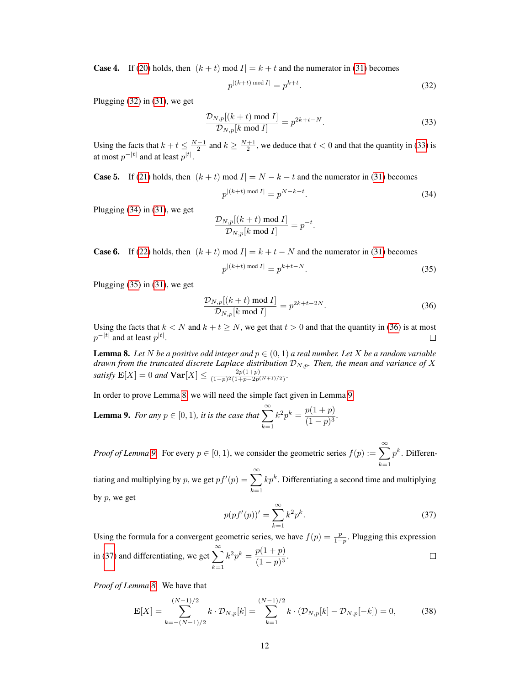**Case 4.** If [\(20\)](#page-10-11) holds, then  $|(k + t) \text{ mod } I| = k + t$  and the numerator in [\(31\)](#page-10-12) becomes

<span id="page-11-0"></span>
$$
p^{\left\lfloor \left(k+t\right)\bmod I\right\rfloor} = p^{k+t}.\tag{32}
$$

Plugging [\(32\)](#page-11-0) in [\(31\)](#page-10-12), we get

<span id="page-11-1"></span>
$$
\frac{\mathcal{D}_{N,p}[(k+t) \bmod I]}{\mathcal{D}_{N,p}[k \bmod I]} = p^{2k+t-N}.
$$
\n(33)

Using the facts that  $k + t \leq \frac{N-1}{2}$  and  $k \geq \frac{N+1}{2}$ , we deduce that  $t < 0$  and that the quantity in [\(33\)](#page-11-1) is at most  $p^{-|t|}$  and at least  $p^{|t|}$ .

**Case 5.** If [\(21\)](#page-10-13) holds, then  $|(k + t) \text{ mod } I| = N - k - t$  and the numerator in [\(31\)](#page-10-12) becomes

<span id="page-11-2"></span>
$$
p^{|(k+t) \bmod I|} = p^{N-k-t}.
$$
\n(34)

Plugging [\(34\)](#page-11-2) in [\(31\)](#page-10-12), we get

$$
\frac{\mathcal{D}_{N,p}[(k+t) \bmod I]}{\mathcal{D}_{N,p}[k \bmod I]} = p^{-t}.
$$

**Case 6.** If [\(22\)](#page-10-14) holds, then  $|(k + t) \text{ mod } I| = k + t - N$  and the numerator in [\(31\)](#page-10-12) becomes

<span id="page-11-3"></span>
$$
p^{|(k+t) \bmod I|} = p^{k+t-N}.
$$
\n(35)

Plugging [\(35\)](#page-11-3) in [\(31\)](#page-10-12), we get

<span id="page-11-4"></span>
$$
\frac{\mathcal{D}_{N,p}[(k+t) \bmod I]}{\mathcal{D}_{N,p}[k \bmod I]} = p^{2k+t-2N}.
$$
\n(36)

Using the facts that  $k < N$  and  $k + t \ge N$ , we get that  $t > 0$  and that the quantity in [\(36\)](#page-11-4) is at most  $p^{-|t|}$  and at least  $p^{|t|}$ . П

<span id="page-11-5"></span>**Lemma 8.** Let N be a positive odd integer and  $p \in (0,1)$  a real number. Let X be a random variable  $d$ rawn from the truncated discrete Laplace distribution  $\mathcal{D}_{N,p}$ . Then, the mean and variance of  $X$ *satisfy*  $\mathbf{E}[X] = 0$  *and*  $\mathbf{Var}[X] \le \frac{2p(1+p)}{(1-p)^2(1+p-p)}$  $\frac{2p(1+p)}{(1-p)^2(1+p-2p^{(N+1)/2})}$ .

In order to prove Lemma [8,](#page-11-5) we will need the simple fact given in Lemma [9.](#page-11-6)

<span id="page-11-6"></span>**Lemma 9.** For any  $p \in [0, 1)$ , it is the case that  $\sum_{n=1}^{\infty}$  $k=1$  $k^2 p^k = \frac{p(1+p)}{(1-p)^3}$  $\frac{p(1+p)}{(1-p)^3}$ .

*Proof of Lemma [9.](#page-11-6)* For every  $p \in [0, 1)$ , we consider the geometric series  $f(p) := \sum_{n=1}^{\infty}$  $k=1$  $p^k$ . Differen-

<span id="page-11-7"></span>tiating and multiplying by p, we get  $pf'(p) = \sum_{n=0}^{\infty}$  $k=1$  $kp^k$ . Differentiating a second time and multiplying by  $p$ , we get

$$
p(pf'(p))' = \sum_{k=1}^{\infty} k^2 p^k.
$$
 (37)

Using the formula for a convergent geometric series, we have  $f(p) = \frac{p}{1-p}$ . Plugging this expression in [\(37\)](#page-11-7) and differentiating, we get  $\sum_{n=1}^{\infty}$  $k^2 p^k = \frac{p(1+p)}{(1-p)^3}$  $\Box$  $\frac{p(1+p)}{(1-p)^3}$ .  $k=1$ 

*Proof of Lemma [8.](#page-11-5)* We have that

<span id="page-11-8"></span>
$$
\mathbf{E}[X] = \sum_{k=-(N-1)/2}^{(N-1)/2} k \cdot \mathcal{D}_{N,p}[k] = \sum_{k=1}^{(N-1)/2} k \cdot (\mathcal{D}_{N,p}[k] - \mathcal{D}_{N,p}[-k]) = 0,
$$
 (38)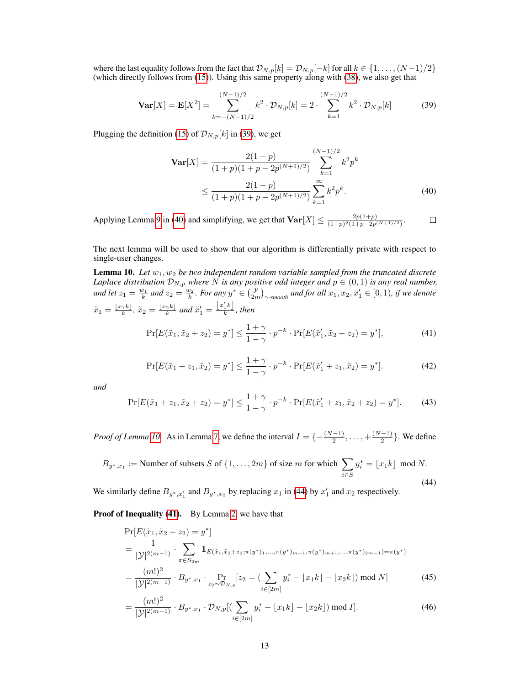where the last equality follows from the fact that  $\mathcal{D}_{N,p}[k] = \mathcal{D}_{N,p}[-k]$  for all  $k \in \{1, \ldots, (N-1)/2\}$ (which directly follows from [\(15\)](#page-9-3)). Using this same property along with [\(38\)](#page-11-8), we also get that

$$
\mathbf{Var}[X] = \mathbf{E}[X^2] = \sum_{k=-(N-1)/2}^{(N-1)/2} k^2 \cdot \mathcal{D}_{N,p}[k] = 2 \cdot \sum_{k=1}^{(N-1)/2} k^2 \cdot \mathcal{D}_{N,p}[k] \tag{39}
$$

Plugging the definition [\(15\)](#page-9-3) of  $\mathcal{D}_{N,p}[k]$  in [\(39\)](#page-12-0), we get

<span id="page-12-1"></span><span id="page-12-0"></span>
$$
\mathbf{Var}[X] = \frac{2(1-p)}{(1+p)(1+p-2p^{(N+1)/2})} \sum_{k=1}^{(N-1)/2} k^2 p^k
$$
  
 
$$
\leq \frac{2(1-p)}{(1+p)(1+p-2p^{(N+1)/2})} \sum_{k=1}^{\infty} k^2 p^k.
$$
 (40)

Applying Lemma [9](#page-11-6) in [\(40\)](#page-12-1) and simplifying, we get that  $\text{Var}[X] \leq \frac{2p(1+p)}{(1-p)^2(1+p-pn)}$  $\Box$  $\frac{2p(1+p)}{(1-p)^2(1+p-2p^{(N+1)/2})}$ .

The next lemma will be used to show that our algorithm is differentially private with respect to single-user changes.

<span id="page-12-2"></span>**Lemma 10.** Let  $w_1, w_2$  be two independent random variable sampled from the truncated discrete *Laplace distribution*  $\mathcal{D}_{N,p}$  *where* N *is any positive odd integer and*  $p \in (0,1)$  *is any real number,* and let  $z_1 = \frac{w_1}{k}$  and  $z_2 = \frac{w_2}{k}$ . For any  $y^* \in {y \choose 2m}$ <sub> $\gamma$ -smooth</sub> and for all  $x_1, x_2, x_1' \in [0, 1)$ , if we denote  $\tilde{x}_1 = \frac{\lfloor x_1 k \rfloor}{k}, \, \tilde{x}_2 = \frac{\lfloor x_2 k \rfloor}{k}$  and  $\tilde{x}'_1 = \frac{\lfloor x'_1 k \rfloor}{k}$  $\frac{1}{k}$ , then

<span id="page-12-4"></span>
$$
\Pr[E(\tilde{x}_1, \tilde{x}_2 + z_2) = y^*] \le \frac{1 + \gamma}{1 - \gamma} \cdot p^{-k} \cdot \Pr[E(\tilde{x}_1', \tilde{x}_2 + z_2) = y^*],\tag{41}
$$

$$
\Pr[E(\tilde{x}_1 + z_1, \tilde{x}_2) = y^*] \le \frac{1 + \gamma}{1 - \gamma} \cdot p^{-k} \cdot \Pr[E(\tilde{x}'_1 + z_1, \tilde{x}_2) = y^*].\tag{42}
$$

<span id="page-12-7"></span><span id="page-12-6"></span>*and*

$$
\Pr[E(\tilde{x}_1 + z_1, \tilde{x}_2 + z_2) = y^*] \le \frac{1 + \gamma}{1 - \gamma} \cdot p^{-k} \cdot \Pr[E(\tilde{x}_1' + z_1, \tilde{x}_2 + z_2) = y^*].\tag{43}
$$

<span id="page-12-3"></span>*Proof of Lemma [10.](#page-12-2)* As in Lemma [7,](#page-9-2) we define the interval  $I = \{-\frac{(N-1)}{2}, \ldots, +\frac{(N-1)}{2}\}$  $\frac{-1}{2}$ . We define

$$
B_{y^*,x_1} := \text{Number of subsets } S \text{ of } \{1,\ldots,2m\} \text{ of size } m \text{ for which } \sum_{i \in S} y_i^* = \lfloor x_1 k \rfloor \text{ mod } N. \tag{44}
$$

We similarly define  $B_{y^*,x_1'}$  and  $B_{y^*,x_2}$  by replacing  $x_1$  in [\(44\)](#page-12-3) by  $x_1'$  and  $x_2$  respectively.

Proof of Inequality [\(41\)](#page-12-4). By Lemma [2,](#page-6-0) we have that

$$
\Pr[E(\tilde{x}_1, \tilde{x}_2 + z_2) = y^*]
$$
\n
$$
= \frac{1}{|\mathcal{Y}|^{2(m-1)}} \cdot \sum_{\pi \in S_{2m}} \mathbf{1}_{E(\tilde{x}_1, \tilde{x}_2 + z_2; \pi(y^*)_1, \dots, \pi(y^*)_{m-1}, \pi(y^*)_{m+1}, \dots, \pi(y^*)_{2m-1}) = \pi(y^*)}
$$
\n
$$
= \frac{(m!)^2}{|\mathcal{Y}|^{2(m-1)}} \cdot B_{y^*, x_1} \cdot \Pr_{z_2 \sim \mathcal{D}_{N, p}}[z_2 = (\sum_{i \in [2m]} y_i^* - \lfloor x_1 k \rfloor - \lfloor x_2 k \rfloor) \mod N]
$$
\n
$$
(45)
$$
\n
$$
(m!)^2 \cdot \Pr[\mathcal{D}_{N, p} \mid \mathcal{D}_{N, p}] = \Pr[\mathcal{D}_{N, p} \mid \mathcal{D}_{N, p}] = \frac{(N! \cdot N! \cdot \Pr[\mathcal{D}_{N, p} \mid \mathcal{D}_{N, p}] - \Pr[\mathcal{D}_{N, p}]}{\Pr[\mathcal{D}_{N, p}] = \frac{N! \cdot N! \cdot \Pr[\mathcal{D}_{N, p}] - \Pr[\mathcal{D}_{N, p}]}{\Pr[\mathcal{D}_{N, p}] = \frac{N! \cdot N! \cdot \Pr[\mathcal{D}_{N, p}] - \Pr[\mathcal{D}_{N, p}]}} \tag{46}
$$

<span id="page-12-5"></span>
$$
= \frac{(m!)^2}{|\mathcal{Y}|^{2(m-1)}} \cdot B_{y^*,x_1} \cdot \mathcal{D}_{N,p}[(\sum_{i \in [2m]} y_i^* - \lfloor x_1 k \rfloor - \lfloor x_2 k \rfloor) \bmod I]. \tag{46}
$$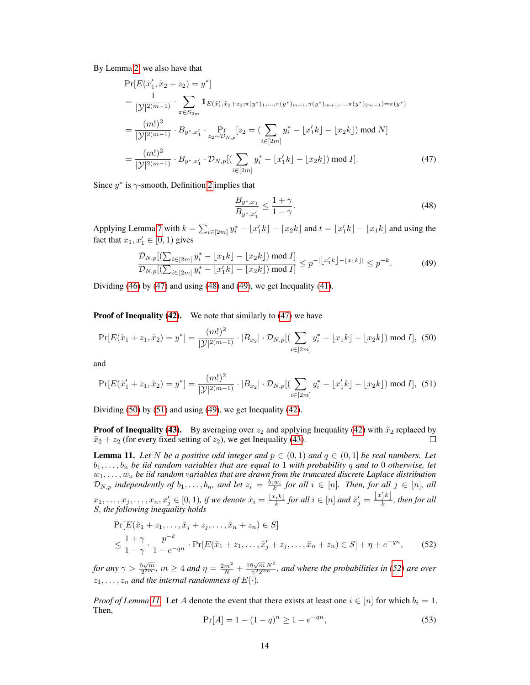By Lemma [2,](#page-6-0) we also have that

$$
\Pr[E(\tilde{x}'_1, \tilde{x}_2 + z_2) = y^*]
$$
\n
$$
= \frac{1}{|\mathcal{Y}|^{2(m-1)}} \cdot \sum_{\pi \in S_{2m}} \mathbf{1}_{E(\tilde{x}'_1, \tilde{x}_2 + z_2; \pi(y^*), \dots, \pi(y^*)_{m-1}, \pi(y^*)_{m+1}, \dots, \pi(y^*)_{2m-1}) = \pi(y^*)}
$$
\n
$$
= \frac{(m!)^2}{|\mathcal{Y}|^{2(m-1)}} \cdot B_{y^*, x'_1} \cdot \Pr_{z_2 \sim \mathcal{D}_{N,p}}[z_2 = \left(\sum_{i \in [2m]} y_i^* - \lfloor x'_1 k \rfloor - \lfloor x_2 k \rfloor \right) \mod N]
$$
\n
$$
= \frac{(m!)^2}{|\mathcal{Y}|^{2(m-1)}} \cdot B_{y^*, x'_1} \cdot \mathcal{D}_{N,p}[(\sum_{i \in [2m]} y_i^* - \lfloor x'_1 k \rfloor - \lfloor x_2 k \rfloor) \mod I]. \tag{47}
$$

Since  $y^*$  is  $\gamma$ -smooth, Definition [2](#page-4-2) implies that

<span id="page-13-3"></span><span id="page-13-2"></span><span id="page-13-1"></span><span id="page-13-0"></span>
$$
\frac{B_{y^*,x_1}}{B_{y^*,x_1'}} \le \frac{1+\gamma}{1-\gamma}.\tag{48}
$$

Applying Lemma [7](#page-9-2) with  $k = \sum_{i \in [2m]} y_i^* - \lfloor x_1' k \rfloor - \lfloor x_2 k \rfloor$  and  $t = \lfloor x_1' k \rfloor - \lfloor x_1 k \rfloor$  and using the fact that  $x_1, x_1' \in [0, 1)$  gives

$$
\frac{\mathcal{D}_{N,p}[(\sum_{i\in[2m]}y_i^* - \lfloor x_1k \rfloor - \lfloor x_2k \rfloor) \bmod I]}{\mathcal{D}_{N,p}[(\sum_{i\in[2m]}y_i^* - \lfloor x_1'k \rfloor - \lfloor x_2k \rfloor) \bmod I]} \le p^{-|\lfloor x_1'k \rfloor - \lfloor x_1k \rfloor|} \le p^{-k}.
$$
\n(49)

Dividing [\(46\)](#page-12-5) by [\(47\)](#page-13-0) and using [\(48\)](#page-13-1) and [\(49\)](#page-13-2), we get Inequality [\(41\)](#page-12-4).

**Proof of Inequality [\(42\)](#page-12-6).** We note that similarly to [\(47\)](#page-13-0) we have

$$
\Pr[E(\tilde{x}_1 + z_1, \tilde{x}_2) = y^*] = \frac{(m!)^2}{|\mathcal{Y}|^{2(m-1)}} \cdot |B_{x_2}| \cdot \mathcal{D}_{N, p}[(\sum_{i \in [2m]} y_i^* - \lfloor x_1 k \rfloor - \lfloor x_2 k \rfloor) \bmod I], (50)
$$

<span id="page-13-4"></span>and

$$
\Pr[E(\tilde{x}_1' + z_1, \tilde{x}_2) = y^*] = \frac{(m!)^2}{|\mathcal{Y}|^{2(m-1)}} \cdot |B_{x_2}| \cdot \mathcal{D}_{N, p}[(\sum_{i \in [2m]} y_i^* - \lfloor x_1' k \rfloor - \lfloor x_2 k \rfloor) \bmod I], (51)
$$

Dividing [\(50\)](#page-13-3) by [\(51\)](#page-13-4) and using [\(49\)](#page-13-2), we get Inequality [\(42\)](#page-12-6).

**Proof of Inequality [\(43\)](#page-12-7).** By averaging over  $z_2$  and applying Inequality [\(42\)](#page-12-6) with  $\tilde{x}_2$  replaced by  $\tilde{z}_2 + z_2$  (for every fixed setting of  $z_2$ ) we get Inequality (43)  $\tilde{x}_2 + z_2$  (for every fixed setting of  $z_2$ ), we get Inequality [\(43\)](#page-12-7).

<span id="page-13-6"></span>**Lemma 11.** Let N be a positive odd integer and  $p \in (0,1)$  and  $q \in (0,1]$  be real numbers. Let  $b_1, \ldots, b_n$  *be iid random variables that are equal to* 1 *with probability* q and to 0 *otherwise, let*  $w_1, \ldots, w_n$  be iid random variables that are drawn from the truncated discrete Laplace distribution  $\mathcal{D}_{N,p}$  *independently of*  $b_1,\ldots,b_n$ *, and let*  $z_i = \frac{b_i w_i}{k}$  for all  $i \in [n]$ *. Then, for all*  $j \in [n]$ *, all*  $x_1,\ldots,x_j,\ldots,x_n,x'_j\in[0,1)$ , if we denote  $\tilde{x}_i=\frac{\lfloor x_ik\rfloor}{k}$  for all  $i\in[n]$  and  $\tilde{x}'_j=\frac{\lfloor x'_jk\rfloor}{k}$  $\frac{j^{\kappa}j^{\kappa}}{k}$ , then for all S*, the following inequality holds*

$$
\Pr[E(\tilde{x}_1 + z_1, \dots, \tilde{x}_j + z_j, \dots, \tilde{x}_n + z_n) \in S] \le \frac{1 + \gamma}{1 - e^{-qn}} \cdot \Pr[E(\tilde{x}_1 + z_1, \dots, \tilde{x}'_j + z_j, \dots, \tilde{x}_n + z_n) \in S] + \eta + e^{-qn},
$$
(52)

*for any*  $\gamma > \frac{6\sqrt{m}}{2^{2m}}$  $\frac{\beta\sqrt{m}}{2^{2m}}$ ,  $m \geq 4$  and  $\eta = \frac{2m^2}{N} + \frac{18\sqrt{m} N^2}{\gamma^2 2^{2m}}$  $\frac{N}{\gamma^2 2^{2m}}$ , and where the probabilities in [\(52\)](#page-13-5) are over  $z_1, \ldots, z_n$  and the internal randomness of  $E(\cdot)$ .

<span id="page-13-7"></span>*Proof of Lemma [11.](#page-13-6)* Let A denote the event that there exists at least one  $i \in [n]$  for which  $b_i = 1$ . Then,

<span id="page-13-5"></span>
$$
\Pr[A] = 1 - (1 - q)^n \ge 1 - e^{-qn},\tag{53}
$$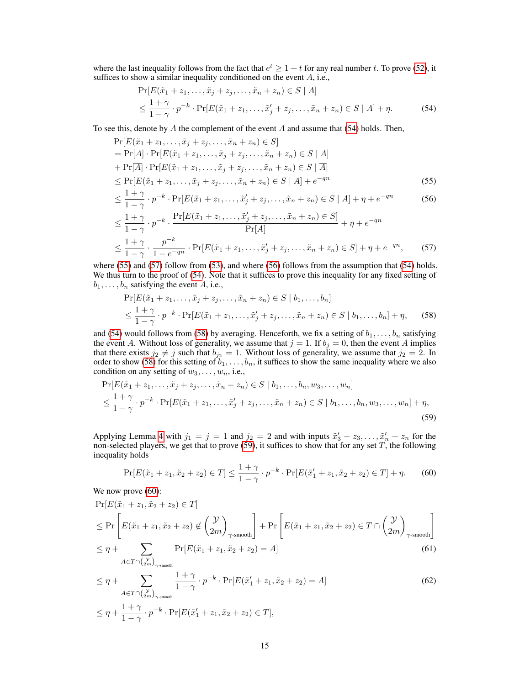where the last inequality follows from the fact that  $e^t \geq 1 + t$  for any real number t. To prove [\(52\)](#page-13-5), it suffices to show a similar inequality conditioned on the event  $A$ , i.e.,

<span id="page-14-3"></span><span id="page-14-1"></span><span id="page-14-0"></span>
$$
\Pr[E(\tilde{x}_1 + z_1, \dots, \tilde{x}_j + z_j, \dots, \tilde{x}_n + z_n) \in S \mid A] \leq \frac{1 + \gamma}{1 - \gamma} \cdot p^{-k} \cdot \Pr[E(\tilde{x}_1 + z_1, \dots, \tilde{x}'_j + z_j, \dots, \tilde{x}_n + z_n) \in S \mid A] + \eta.
$$
\n(54)

To see this, denote by  $\overline{A}$  the complement of the event A and assume that [\(54\)](#page-14-0) holds. Then,

$$
\Pr[E(\tilde{x}_1 + z_1, \dots, \tilde{x}_j + z_j, \dots, \tilde{x}_n + z_n) \in S] \n= \Pr[A] \cdot \Pr[E(\tilde{x}_1 + z_1, \dots, \tilde{x}_j + z_j, \dots, \tilde{x}_n + z_n) \in S | A] \n+ \Pr[\overline{A}] \cdot \Pr[E(\tilde{x}_1 + z_1, \dots, \tilde{x}_j + z_j, \dots, \tilde{x}_n + z_n) \in S | \overline{A}] \n\le \Pr[E(\tilde{x}_1 + z_1, \dots, \tilde{x}_j + z_j, \dots, \tilde{x}_n + z_n) \in S | A] + e^{-qn}
$$
\n(55)

$$
\leq \frac{1+\gamma}{1-\gamma} \cdot p^{-k} \cdot \Pr[E(\tilde{x}_1 + z_1, \dots, \tilde{x}'_j + z_j, \dots, \tilde{x}_n + z_n) \in S \mid A] + \eta + e^{-qn} \tag{56}
$$

$$
\leq \frac{1+\gamma}{1-\gamma} \cdot p^{-k} \cdot \frac{\Pr[E(\tilde{x}_1 + z_1, \dots, \tilde{x}'_j + z_j, \dots, \tilde{x}_n + z_n) \in S]}{\Pr[A]} + \eta + e^{-qn}
$$
  

$$
\leq \frac{1+\gamma}{1-\gamma} \cdot \frac{p^{-k}}{1-e^{-qn}} \cdot \Pr[E(\tilde{x}_1 + z_1, \dots, \tilde{x}'_j + z_j, \dots, \tilde{x}_n + z_n) \in S] + \eta + e^{-qn},
$$
(57)

where [\(55\)](#page-14-1) and [\(57\)](#page-14-2) follow from [\(53\)](#page-13-7), and where [\(56\)](#page-14-3) follows from the assumption that [\(54\)](#page-14-0) holds. We thus turn to the proof of [\(54\)](#page-14-0). Note that it suffices to prove this inequality for any fixed setting of  $b_1, \ldots, b_n$  satisfying the event A, i.e.,

<span id="page-14-4"></span><span id="page-14-2"></span>
$$
\Pr[E(\tilde{x}_1 + z_1, \dots, \tilde{x}_j + z_j, \dots, \tilde{x}_n + z_n) \in S \mid b_1, \dots, b_n]
$$
  
\n
$$
\leq \frac{1 + \gamma}{1 - \gamma} \cdot p^{-k} \cdot \Pr[E(\tilde{x}_1 + z_1, \dots, \tilde{x}'_j + z_j, \dots, \tilde{x}_n + z_n) \in S \mid b_1, \dots, b_n] + \eta,
$$
 (58)

and [\(54\)](#page-14-0) would follows from [\(58\)](#page-14-4) by averaging. Henceforth, we fix a setting of  $b_1, \ldots, b_n$  satisfying the event A. Without loss of generality, we assume that  $j = 1$ . If  $b_j = 0$ , then the event A implies that there exists  $j_2 \neq j$  such that  $b_{j_2} = 1$ . Without loss of generality, we assume that  $j_2 = 2$ . In order to show [\(58\)](#page-14-4) for this setting of  $b_1, \ldots, b_n$ , it suffices to show the same inequality where we also condition on any setting of  $w_3, \ldots, w_n$ , i.e.,

$$
\Pr[E(\tilde{x}_1 + z_1, \dots, \tilde{x}_j + z_j, \dots, \tilde{x}_n + z_n) \in S \mid b_1, \dots, b_n, w_3, \dots, w_n]
$$
\n
$$
\leq \frac{1+\gamma}{1-\gamma} \cdot p^{-k} \cdot \Pr[E(\tilde{x}_1 + z_1, \dots, \tilde{x}'_j + z_j, \dots, \tilde{x}_n + z_n) \in S \mid b_1, \dots, b_n, w_3, \dots, w_n] + \eta,
$$
\n(59)

Applying Lemma [4](#page-7-5) with  $j_1 = j = 1$  and  $j_2 = 2$  and with inputs  $\tilde{x}'_3 + z_3, \ldots, \tilde{x}'_n + z_n$  for the non-selected players, we get that to prove [\(59\)](#page-14-5), it suffices to show that for any set T, the following inequality holds

<span id="page-14-8"></span><span id="page-14-7"></span><span id="page-14-6"></span><span id="page-14-5"></span>
$$
\Pr[E(\tilde{x}_1 + z_1, \tilde{x}_2 + z_2) \in T] \le \frac{1 + \gamma}{1 - \gamma} \cdot p^{-k} \cdot \Pr[E(\tilde{x}_1' + z_1, \tilde{x}_2 + z_2) \in T] + \eta. \tag{60}
$$

We now prove  $(60)$ :

$$
\Pr[E(\tilde{x}_1 + z_1, \tilde{x}_2 + z_2) \in T]
$$
\n
$$
\leq \Pr\left[E(\tilde{x}_1 + z_1, \tilde{x}_2 + z_2) \notin \binom{\mathcal{Y}}{2m}_{\gamma\text{-smooth}}\right] + \Pr\left[E(\tilde{x}_1 + z_1, \tilde{x}_2 + z_2) \in T \cap \binom{\mathcal{Y}}{2m}_{\gamma\text{-smooth}}\right]
$$
\n
$$
\leq \eta + \sum_{\gamma\text{-smooth}} \Pr[E(\tilde{x}_1 + z_1, \tilde{x}_2 + z_2) = A] \tag{61}
$$

$$
\leq \eta + \sum_{A \in T \cap \binom{\mathcal{Y}}{2m}_{\gamma\text{-smooth}}} \frac{\prod \left[ E(x_1 + z_1, x_2 + z_2) - A \right]}{1 + \gamma_{\gamma\text{-smooth}}} \tag{61}
$$

$$
\leq \eta + \sum_{A \in T \cap \binom{\mathcal{Y}}{2m}_{\gamma\text{-smooth}}} \frac{1+\gamma}{1-\gamma} \cdot p^{-k} \cdot \Pr[E(\tilde{x}_1' + z_1, \tilde{x}_2 + z_2) = A] \tag{62}
$$

$$
\leq \eta + \frac{1+\gamma}{1-\gamma} \cdot p^{-k} \cdot \Pr[E(\tilde{x}_1' + z_1, \tilde{x}_2 + z_2) \in T],
$$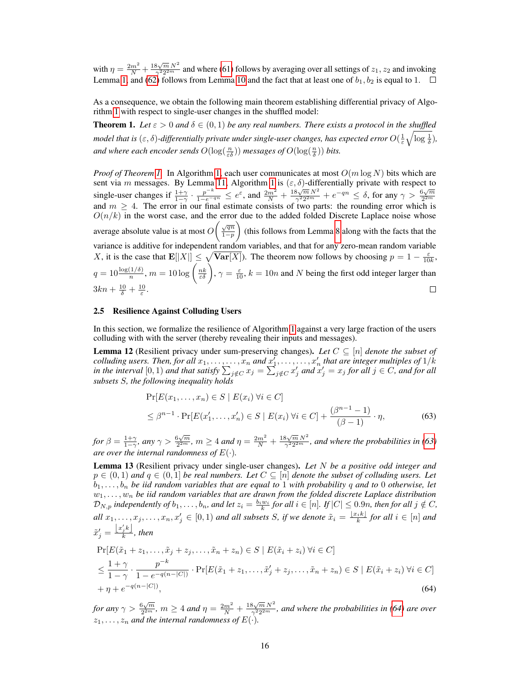with  $\eta = \frac{2m^2}{N} + \frac{18\sqrt{m} N^2}{\gamma^2 2^{2m}}$  $\frac{3\sqrt{m}N^2}{\gamma^2 2^{2m}}$  and where [\(61\)](#page-14-7) follows by averaging over all settings of  $z_1, z_2$  and invoking Lemma [1,](#page-5-0) and [\(62\)](#page-14-8) follows from Lemma [10](#page-12-2) and the fact that at least one of  $b_1, b_2$  is equal to 1.

As a consequence, we obtain the following main theorem establishing differential privacy of Algorithm [1](#page-3-1) with respect to single-user changes in the shuffled model:

**Theorem 1.** Let  $\varepsilon > 0$  and  $\delta \in (0,1)$  be any real numbers. There exists a protocol in the shuffled model that is  $(\varepsilon,\delta)$ -differentially private under single-user changes, has expected error  $O(\frac{1}{\varepsilon}\sqrt{\log \frac{1}{\delta}})$ , and where each encoder sends  $O(\log(\frac{n}{\varepsilon\delta}))$  messages of  $O(\log(\frac{n}{\delta}))$  bits.

*Proof of Theorem [1.](#page-1-2)* In Algorithm [1,](#page-3-1) each user communicates at most  $O(m \log N)$  bits which are sent via m messages. By Lemma [11,](#page-13-6) Algorithm [1](#page-3-1) is  $(\varepsilon, \delta)$ -differentially private with respect to single-user changes if  $\frac{1+\gamma}{1-\gamma}$ .  $\frac{p-k}{1-e^{-qn}} \leq e^{\epsilon}$ , and  $\frac{2m^2}{N} + \frac{18\sqrt{m}N^2}{\gamma^2 2^{2m}}$  $\frac{8\sqrt{m} N^2}{\gamma^2 2^{2m}} + e^{-qn} \leq \delta$ , for any  $\gamma > \frac{6\sqrt{m}}{2^{2m}}$  $2m$  and  $m \geq 4$ . The error in our final estimate consists of two parts: the rounding error which is  $O(n/k)$  in the worst case, and the error due to the added folded Discrete Laplace noise whose average absolute value is at most  $O\left(\frac{\sqrt{qn}}{1-n}\right)$  (this follows from Lemma [8](#page-11-5) along with the facts that the  $1-p$ variance is additive for independent random variables, and that for any zero-mean random variable X, it is the case that  $\mathbf{E}[|X|] \leq \sqrt{\text{Var}[X]}$ . The theorem now follows by choosing  $p = 1 - \frac{\varepsilon}{10k}$ ,  $q = 10 \frac{\log(1/\delta)}{n}$ ,  $m = 10 \log\left(\frac{nk}{\varepsilon\delta}\right)$ ,  $\gamma = \frac{\varepsilon}{10}$ ,  $k = 10n$  and N being the first odd integer larger than  $3kn + \frac{10}{\delta} + \frac{10}{\varepsilon}.$  $\Box$ 

#### <span id="page-15-0"></span>2.5 Resilience Against Colluding Users

In this section, we formalize the resilience of Algorithm [1](#page-3-1) against a very large fraction of the users colluding with with the server (thereby revealing their inputs and messages).

<span id="page-15-3"></span>**Lemma 12** (Resilient privacy under sum-preserving changes). Let  $C \subseteq [n]$  *denote the subset of*  $i$  colluding users. Then, for all  $x_1, \ldots, \ldots, x_n$  and  $\underline{x'_1}, \ldots, \ldots, x'_n$  that are integer multiples of  $1/k$ in the interval  $[0,1)$  and that satisfy  $\sum_{j\notin C} x_j = \sum_{j\notin C} x'_j$  and  $x'_j = x_j$  for all  $j\in C$ , and for all *subsets* S*, the following inequality holds*

<span id="page-15-1"></span>
$$
\Pr[E(x_1, ..., x_n) \in S \mid E(x_i) \,\forall i \in C] \\
\leq \beta^{n-1} \cdot \Pr[E(x'_1, ..., x'_n) \in S \mid E(x_i) \,\forall i \in C] + \frac{(\beta^{n-1} - 1)}{(\beta - 1)} \cdot \eta,
$$
\n(63)

*for*  $\beta = \frac{1+\gamma}{1-\gamma}$ *, any*  $\gamma > \frac{6\sqrt{m}}{2^{2m}}$  $\frac{\beta\sqrt{m}}{2^{2m}}$ ,  $m \geq 4$  and  $\eta = \frac{2m^2}{N} + \frac{18\sqrt{m} N^2}{\gamma^2 2^{2m}}$  $\frac{N}{\gamma^2 2^{2m}}$ , and where the probabilities in [\(63\)](#page-15-1) *are over the internal randomness of*  $E(\cdot)$ *.* 

<span id="page-15-4"></span>Lemma 13 (Resilient privacy under single-user changes). *Let* N *be a positive odd integer and*  $p \in (0,1)$  and  $q \in (0,1]$  be real numbers. Let  $C \subseteq [n]$  denote the subset of colluding users. Let  $b_1, \ldots, b_n$  be iid random variables that are equal to 1 with probability q and to 0 otherwise, let  $w_1, \ldots, w_n$  be iid random variables that are drawn from the folded discrete Laplace distribution  $\mathcal{D}_{N,p}$  independently of  $b_1,\ldots,b_n$ , and let  $z_i = \frac{b_i w_i}{k}$  for all  $i \in [n]$ . If  $|C| \leq 0.9n$ , then for all  $j \notin C$ ,  $all \ x_1, \ldots, x_j, \ldots, x_n, x'_j \in [0,1)$  and all subsets *S*, if we denote  $\tilde{x}_i = \frac{\lfloor x_i k \rfloor}{k}$  for all  $i \in [n]$  and  $\tilde{x}'_j = \frac{\lfloor x'_jk \rfloor}{k}$  $\frac{j^{\kappa}}{k}$ , then

<span id="page-15-2"></span>
$$
\Pr[E(\tilde{x}_1 + z_1, \dots, \tilde{x}_j + z_j, \dots, \tilde{x}_n + z_n) \in S \mid E(\tilde{x}_i + z_i) \,\forall i \in C] \n\le \frac{1 + \gamma}{1 - \gamma} \cdot \frac{p^{-k}}{1 - e^{-q(n - |C|)}} \cdot \Pr[E(\tilde{x}_1 + z_1, \dots, \tilde{x}'_j + z_j, \dots, \tilde{x}_n + z_n) \in S \mid E(\tilde{x}_i + z_i) \,\forall i \in C] \n+ \eta + e^{-q(n - |C|)},
$$
\n(64)

*for any*  $\gamma > \frac{6\sqrt{m}}{2^{2m}}$  $\frac{\beta\sqrt{m}}{2^{2m}}$ ,  $m \geq 4$  and  $\eta = \frac{2m^2}{N} + \frac{18\sqrt{m} N^2}{\gamma^2 2^{2m}}$  $\frac{N}{\gamma^2 2^{2m}}$ , and where the probabilities in [\(64\)](#page-15-2) are over  $z_1, \ldots, z_n$  and the internal randomness of  $E(\cdot)$ .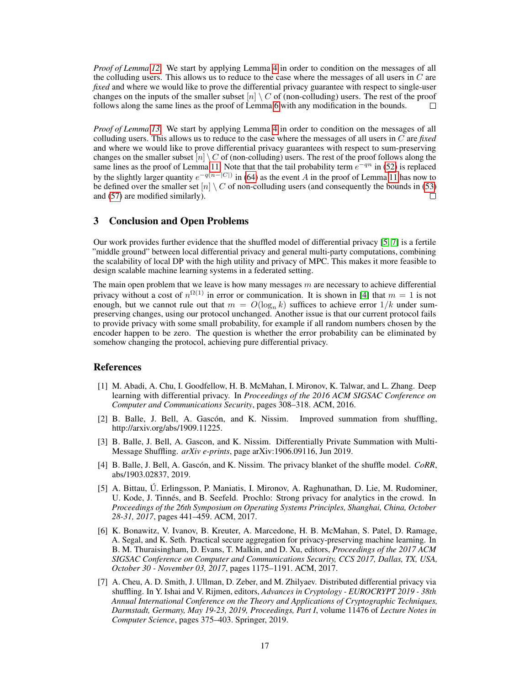*Proof of Lemma [12.](#page-15-3)* We start by applying Lemma [4](#page-7-5) in order to condition on the messages of all the colluding users. This allows us to reduce to the case where the messages of all users in  $C$  are *fixed* and where we would like to prove the differential privacy guarantee with respect to single-user changes on the inputs of the smaller subset  $[n] \setminus C$  of (non-colluding) users. The rest of the proof follows along the same lines as the proof of Lemma [6](#page-8-4) with any modification in the bounds.  $\Box$ 

*Proof of Lemma [13.](#page-15-4)* We start by applying Lemma [4](#page-7-5) in order to condition on the messages of all colluding users. This allows us to reduce to the case where the messages of all users in C are *fixed* and where we would like to prove differential privacy guarantees with respect to sum-preserving changes on the smaller subset  $[n] \setminus C$  of (non-colluding) users. The rest of the proof follows along the same lines as the proof of Lemma [11.](#page-13-6) Note that that the tail probability term  $e^{-qn}$  in [\(52\)](#page-13-5) is replaced by the slightly larger quantity  $e^{-q(n-|C|)}$  in [\(64\)](#page-15-2) as the event A in the proof of Lemma [11](#page-13-6) has now to be defined over the smaller set  $[n] \setminus C$  of non-colluding users (and consequently the bounds in [\(53\)](#page-13-7) and [\(57\)](#page-14-2) are modified similarly).  $\Box$ 

## 3 Conclusion and Open Problems

Our work provides further evidence that the shuffled model of differential privacy [\[5,](#page-16-0) [7\]](#page-16-1) is a fertile "middle ground" between local differential privacy and general multi-party computations, combining the scalability of local DP with the high utility and privacy of MPC. This makes it more feasible to design scalable machine learning systems in a federated setting.

The main open problem that we leave is how many messages  $m$  are necessary to achieve differential privacy without a cost of  $n^{\Omega(1)}$  in error or communication. It is shown in [\[4\]](#page-16-2) that  $m = 1$  is not enough, but we cannot rule out that  $m = O(\log_n k)$  suffices to achieve error  $1/k$  under sumpreserving changes, using our protocol unchanged. Another issue is that our current protocol fails to provide privacy with some small probability, for example if all random numbers chosen by the encoder happen to be zero. The question is whether the error probability can be eliminated by somehow changing the protocol, achieving pure differential privacy.

## References

- <span id="page-16-6"></span>[1] M. Abadi, A. Chu, I. Goodfellow, H. B. McMahan, I. Mironov, K. Talwar, and L. Zhang. Deep learning with differential privacy. In *Proceedings of the 2016 ACM SIGSAC Conference on Computer and Communications Security*, pages 308–318. ACM, 2016.
- <span id="page-16-4"></span>[2] B. Balle, J. Bell, A. Gascón, and K. Nissim. Improved summation from shuffling, http://arxiv.org/abs/1909.11225.
- <span id="page-16-3"></span>[3] B. Balle, J. Bell, A. Gascon, and K. Nissim. Differentially Private Summation with Multi-Message Shuffling. *arXiv e-prints*, page arXiv:1906.09116, Jun 2019.
- <span id="page-16-2"></span>[4] B. Balle, J. Bell, A. Gascón, and K. Nissim. The privacy blanket of the shuffle model. *CoRR*, abs/1903.02837, 2019.
- <span id="page-16-0"></span>[5] A. Bittau, Ú. Erlingsson, P. Maniatis, I. Mironov, A. Raghunathan, D. Lie, M. Rudominer, U. Kode, J. Tinnés, and B. Seefeld. Prochlo: Strong privacy for analytics in the crowd. In *Proceedings of the 26th Symposium on Operating Systems Principles, Shanghai, China, October 28-31, 2017*, pages 441–459. ACM, 2017.
- <span id="page-16-5"></span>[6] K. Bonawitz, V. Ivanov, B. Kreuter, A. Marcedone, H. B. McMahan, S. Patel, D. Ramage, A. Segal, and K. Seth. Practical secure aggregation for privacy-preserving machine learning. In B. M. Thuraisingham, D. Evans, T. Malkin, and D. Xu, editors, *Proceedings of the 2017 ACM SIGSAC Conference on Computer and Communications Security, CCS 2017, Dallas, TX, USA, October 30 - November 03, 2017*, pages 1175–1191. ACM, 2017.
- <span id="page-16-1"></span>[7] A. Cheu, A. D. Smith, J. Ullman, D. Zeber, and M. Zhilyaev. Distributed differential privacy via shuffling. In Y. Ishai and V. Rijmen, editors, *Advances in Cryptology - EUROCRYPT 2019 - 38th Annual International Conference on the Theory and Applications of Cryptographic Techniques, Darmstadt, Germany, May 19-23, 2019, Proceedings, Part I*, volume 11476 of *Lecture Notes in Computer Science*, pages 375–403. Springer, 2019.